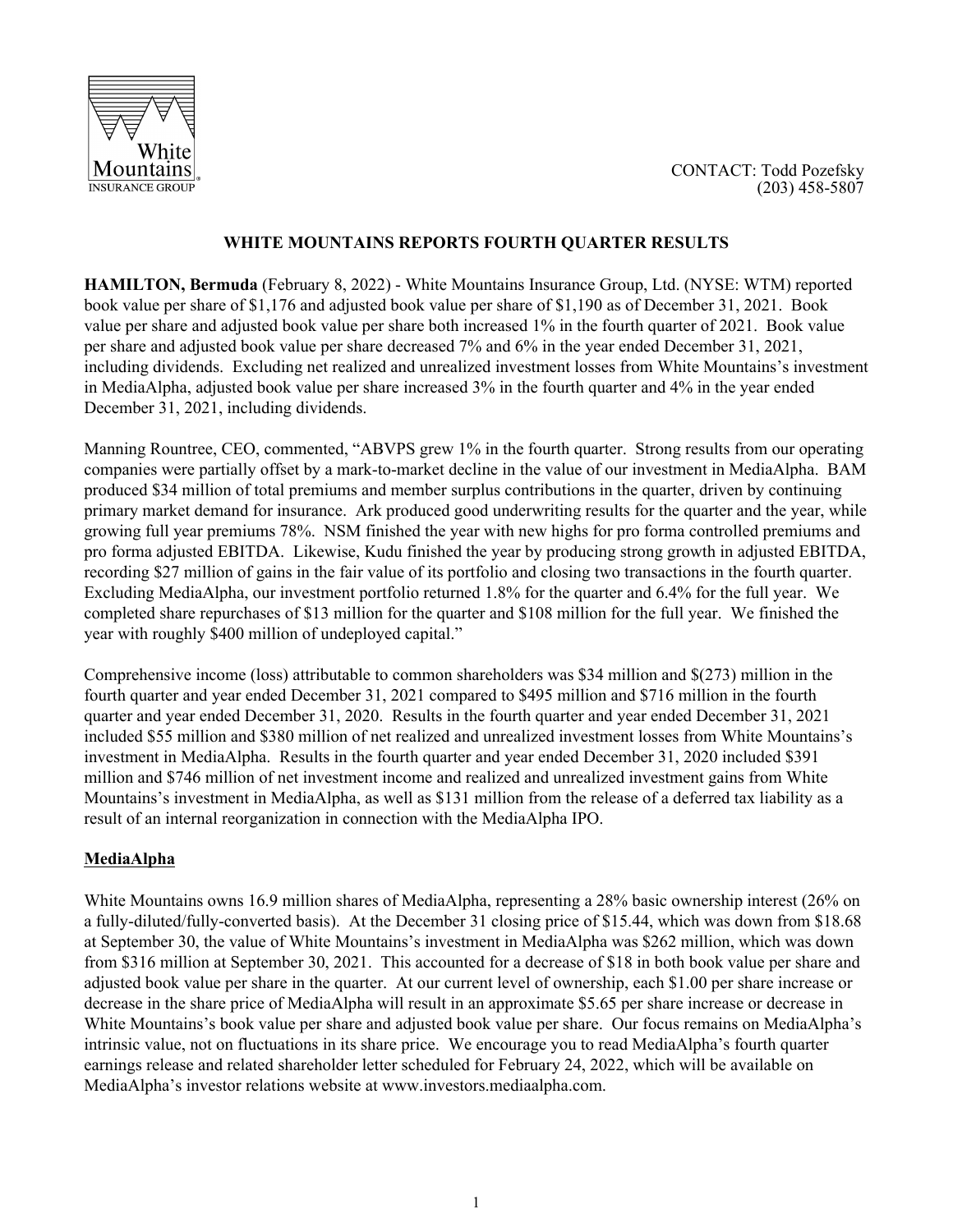



# **WHITE MOUNTAINS REPORTS FOURTH QUARTER RESULTS**

**HAMILTON, Bermuda** (February 8, 2022) - White Mountains Insurance Group, Ltd. (NYSE: WTM) reported book value per share of \$1,176 and adjusted book value per share of \$1,190 as of December 31, 2021. Book value per share and adjusted book value per share both increased 1% in the fourth quarter of 2021. Book value per share and adjusted book value per share decreased 7% and 6% in the year ended December 31, 2021, including dividends. Excluding net realized and unrealized investment losses from White Mountains's investment in MediaAlpha, adjusted book value per share increased 3% in the fourth quarter and 4% in the year ended December 31, 2021, including dividends.

Manning Rountree, CEO, commented, "ABVPS grew 1% in the fourth quarter. Strong results from our operating companies were partially offset by a mark-to-market decline in the value of our investment in MediaAlpha. BAM produced \$34 million of total premiums and member surplus contributions in the quarter, driven by continuing primary market demand for insurance. Ark produced good underwriting results for the quarter and the year, while growing full year premiums 78%. NSM finished the year with new highs for pro forma controlled premiums and pro forma adjusted EBITDA. Likewise, Kudu finished the year by producing strong growth in adjusted EBITDA, recording \$27 million of gains in the fair value of its portfolio and closing two transactions in the fourth quarter. Excluding MediaAlpha, our investment portfolio returned 1.8% for the quarter and 6.4% for the full year. We completed share repurchases of \$13 million for the quarter and \$108 million for the full year. We finished the year with roughly \$400 million of undeployed capital."

Comprehensive income (loss) attributable to common shareholders was \$34 million and \$(273) million in the fourth quarter and year ended December 31, 2021 compared to \$495 million and \$716 million in the fourth quarter and year ended December 31, 2020. Results in the fourth quarter and year ended December 31, 2021 included \$55 million and \$380 million of net realized and unrealized investment losses from White Mountains's investment in MediaAlpha. Results in the fourth quarter and year ended December 31, 2020 included \$391 million and \$746 million of net investment income and realized and unrealized investment gains from White Mountains's investment in MediaAlpha, as well as \$131 million from the release of a deferred tax liability as a result of an internal reorganization in connection with the MediaAlpha IPO.

# **MediaAlpha**

White Mountains owns 16.9 million shares of MediaAlpha, representing a 28% basic ownership interest (26% on a fully-diluted/fully-converted basis). At the December 31 closing price of \$15.44, which was down from \$18.68 at September 30, the value of White Mountains's investment in MediaAlpha was \$262 million, which was down from \$316 million at September 30, 2021. This accounted for a decrease of \$18 in both book value per share and adjusted book value per share in the quarter. At our current level of ownership, each \$1.00 per share increase or decrease in the share price of MediaAlpha will result in an approximate \$5.65 per share increase or decrease in White Mountains's book value per share and adjusted book value per share. Our focus remains on MediaAlpha's intrinsic value, not on fluctuations in its share price. We encourage you to read MediaAlpha's fourth quarter earnings release and related shareholder letter scheduled for February 24, 2022, which will be available on MediaAlpha's investor relations website at www.investors.mediaalpha.com.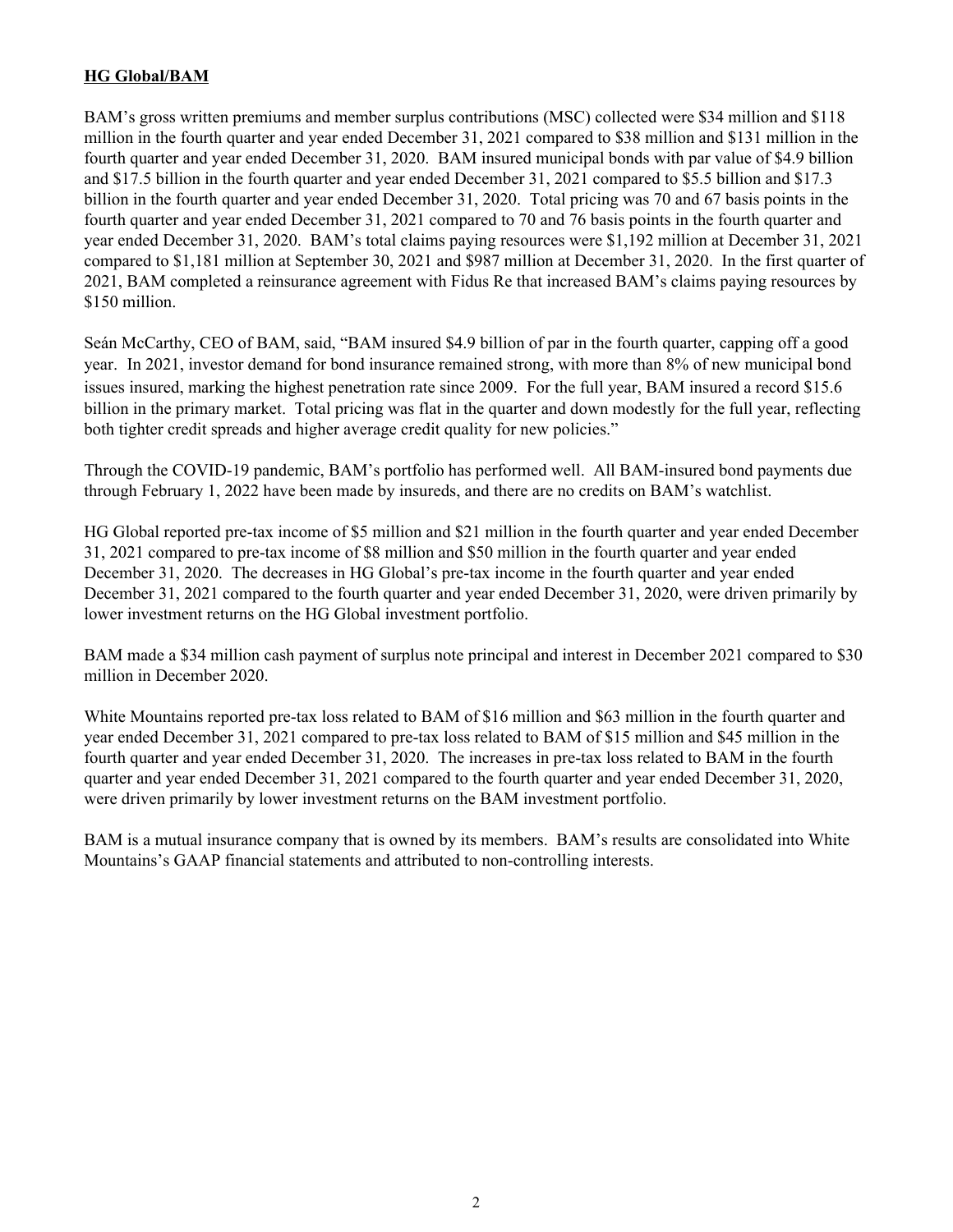# **HG Global/BAM**

BAM's gross written premiums and member surplus contributions (MSC) collected were \$34 million and \$118 million in the fourth quarter and year ended December 31, 2021 compared to \$38 million and \$131 million in the fourth quarter and year ended December 31, 2020. BAM insured municipal bonds with par value of \$4.9 billion and \$17.5 billion in the fourth quarter and year ended December 31, 2021 compared to \$5.5 billion and \$17.3 billion in the fourth quarter and year ended December 31, 2020. Total pricing was 70 and 67 basis points in the fourth quarter and year ended December 31, 2021 compared to 70 and 76 basis points in the fourth quarter and year ended December 31, 2020. BAM's total claims paying resources were \$1,192 million at December 31, 2021 compared to \$1,181 million at September 30, 2021 and \$987 million at December 31, 2020. In the first quarter of 2021, BAM completed a reinsurance agreement with Fidus Re that increased BAM's claims paying resources by \$150 million.

Seán McCarthy, CEO of BAM, said, "BAM insured \$4.9 billion of par in the fourth quarter, capping off a good year. In 2021, investor demand for bond insurance remained strong, with more than 8% of new municipal bond issues insured, marking the highest penetration rate since 2009. For the full year, BAM insured a record \$15.6 billion in the primary market. Total pricing was flat in the quarter and down modestly for the full year, reflecting both tighter credit spreads and higher average credit quality for new policies."

Through the COVID-19 pandemic, BAM's portfolio has performed well. All BAM-insured bond payments due through February 1, 2022 have been made by insureds, and there are no credits on BAM's watchlist.

HG Global reported pre-tax income of \$5 million and \$21 million in the fourth quarter and year ended December 31, 2021 compared to pre-tax income of \$8 million and \$50 million in the fourth quarter and year ended December 31, 2020. The decreases in HG Global's pre-tax income in the fourth quarter and year ended December 31, 2021 compared to the fourth quarter and year ended December 31, 2020, were driven primarily by lower investment returns on the HG Global investment portfolio.

BAM made a \$34 million cash payment of surplus note principal and interest in December 2021 compared to \$30 million in December 2020.

White Mountains reported pre-tax loss related to BAM of \$16 million and \$63 million in the fourth quarter and year ended December 31, 2021 compared to pre-tax loss related to BAM of \$15 million and \$45 million in the fourth quarter and year ended December 31, 2020. The increases in pre-tax loss related to BAM in the fourth quarter and year ended December 31, 2021 compared to the fourth quarter and year ended December 31, 2020, were driven primarily by lower investment returns on the BAM investment portfolio.

BAM is a mutual insurance company that is owned by its members. BAM's results are consolidated into White Mountains's GAAP financial statements and attributed to non-controlling interests.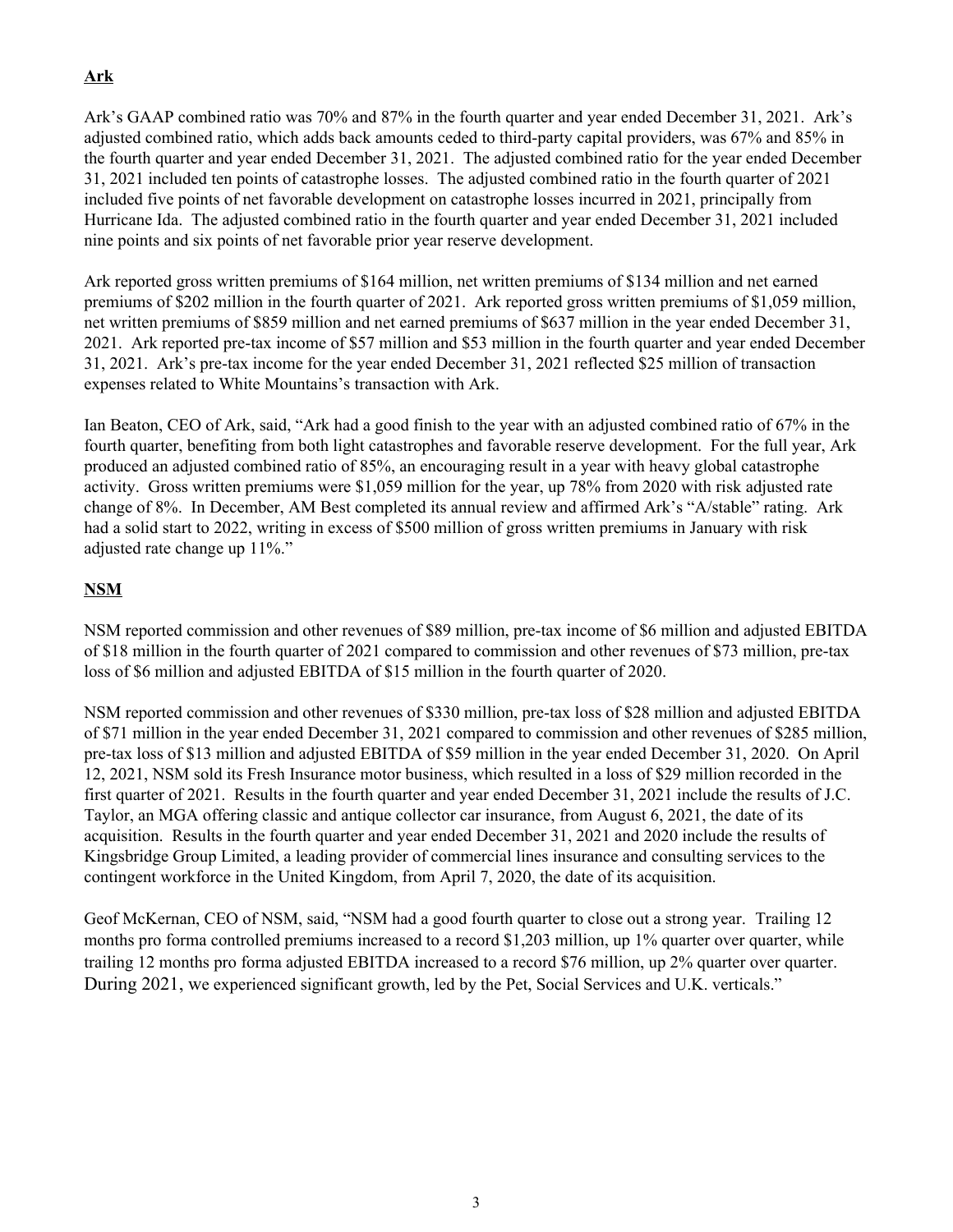# **Ark**

Ark's GAAP combined ratio was 70% and 87% in the fourth quarter and year ended December 31, 2021. Ark's adjusted combined ratio, which adds back amounts ceded to third-party capital providers, was 67% and 85% in the fourth quarter and year ended December 31, 2021. The adjusted combined ratio for the year ended December 31, 2021 included ten points of catastrophe losses. The adjusted combined ratio in the fourth quarter of 2021 included five points of net favorable development on catastrophe losses incurred in 2021, principally from Hurricane Ida. The adjusted combined ratio in the fourth quarter and year ended December 31, 2021 included nine points and six points of net favorable prior year reserve development.

Ark reported gross written premiums of \$164 million, net written premiums of \$134 million and net earned premiums of \$202 million in the fourth quarter of 2021. Ark reported gross written premiums of \$1,059 million, net written premiums of \$859 million and net earned premiums of \$637 million in the year ended December 31, 2021. Ark reported pre-tax income of \$57 million and \$53 million in the fourth quarter and year ended December 31, 2021. Ark's pre-tax income for the year ended December 31, 2021 reflected \$25 million of transaction expenses related to White Mountains's transaction with Ark.

Ian Beaton, CEO of Ark, said, "Ark had a good finish to the year with an adjusted combined ratio of 67% in the fourth quarter, benefiting from both light catastrophes and favorable reserve development. For the full year, Ark produced an adjusted combined ratio of 85%, an encouraging result in a year with heavy global catastrophe activity. Gross written premiums were \$1,059 million for the year, up 78% from 2020 with risk adjusted rate change of 8%. In December, AM Best completed its annual review and affirmed Ark's "A/stable" rating. Ark had a solid start to 2022, writing in excess of \$500 million of gross written premiums in January with risk adjusted rate change up 11%."

# **NSM**

NSM reported commission and other revenues of \$89 million, pre-tax income of \$6 million and adjusted EBITDA of \$18 million in the fourth quarter of 2021 compared to commission and other revenues of \$73 million, pre-tax loss of \$6 million and adjusted EBITDA of \$15 million in the fourth quarter of 2020.

NSM reported commission and other revenues of \$330 million, pre-tax loss of \$28 million and adjusted EBITDA of \$71 million in the year ended December 31, 2021 compared to commission and other revenues of \$285 million, pre-tax loss of \$13 million and adjusted EBITDA of \$59 million in the year ended December 31, 2020. On April 12, 2021, NSM sold its Fresh Insurance motor business, which resulted in a loss of \$29 million recorded in the first quarter of 2021. Results in the fourth quarter and year ended December 31, 2021 include the results of J.C. Taylor, an MGA offering classic and antique collector car insurance, from August 6, 2021, the date of its acquisition. Results in the fourth quarter and year ended December 31, 2021 and 2020 include the results of Kingsbridge Group Limited, a leading provider of commercial lines insurance and consulting services to the contingent workforce in the United Kingdom, from April 7, 2020, the date of its acquisition.

Geof McKernan, CEO of NSM, said, "NSM had a good fourth quarter to close out a strong year. Trailing 12 months pro forma controlled premiums increased to a record \$1,203 million, up 1% quarter over quarter, while trailing 12 months pro forma adjusted EBITDA increased to a record \$76 million, up 2% quarter over quarter. During 2021, we experienced significant growth, led by the Pet, Social Services and U.K. verticals."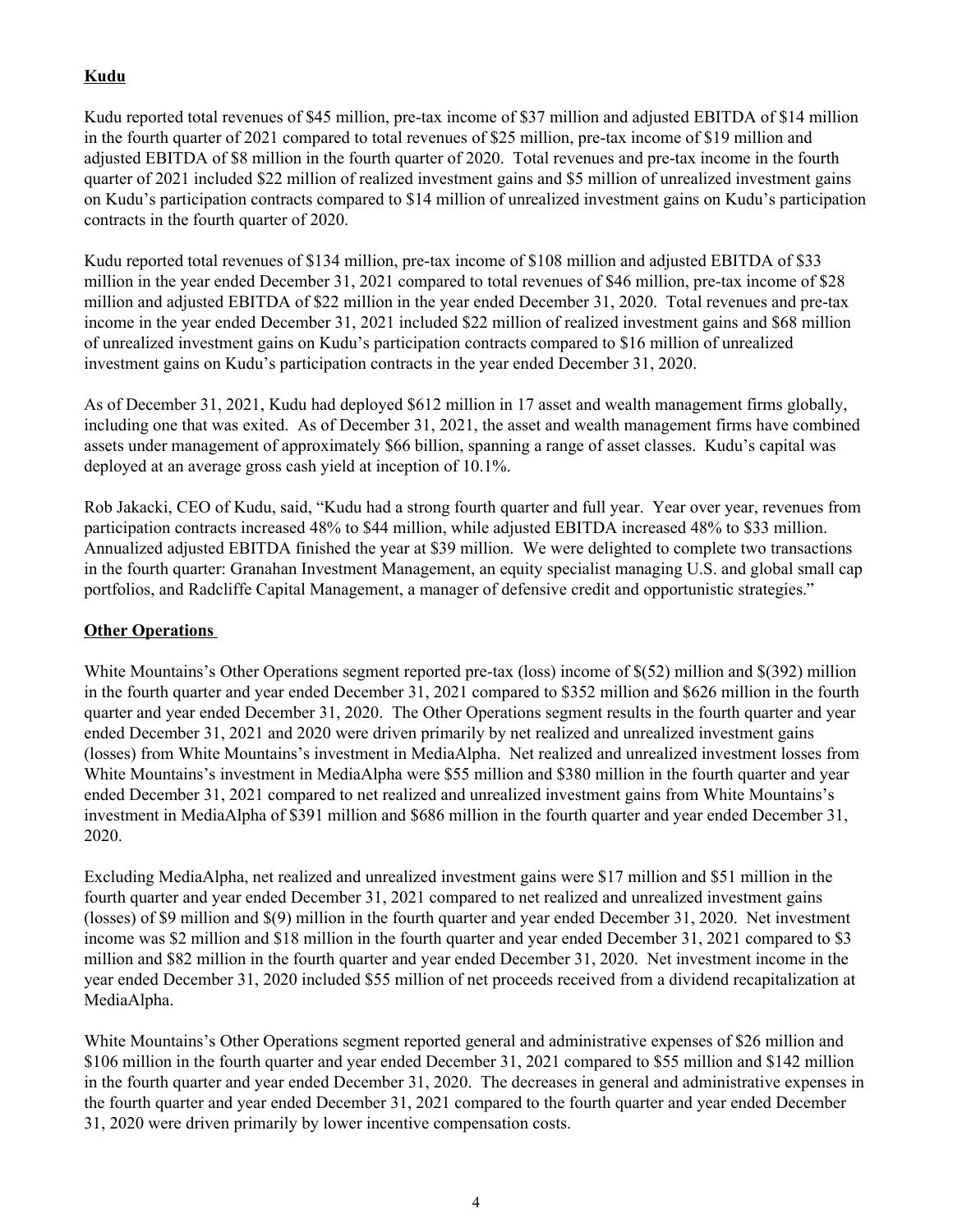# **Kudu**

Kudu reported total revenues of \$45 million, pre-tax income of \$37 million and adjusted EBITDA of \$14 million in the fourth quarter of 2021 compared to total revenues of \$25 million, pre-tax income of \$19 million and adjusted EBITDA of \$8 million in the fourth quarter of 2020. Total revenues and pre-tax income in the fourth quarter of 2021 included \$22 million of realized investment gains and \$5 million of unrealized investment gains on Kudu's participation contracts compared to \$14 million of unrealized investment gains on Kudu's participation contracts in the fourth quarter of 2020.

Kudu reported total revenues of \$134 million, pre-tax income of \$108 million and adjusted EBITDA of \$33 million in the year ended December 31, 2021 compared to total revenues of \$46 million, pre-tax income of \$28 million and adjusted EBITDA of \$22 million in the year ended December 31, 2020. Total revenues and pre-tax income in the year ended December 31, 2021 included \$22 million of realized investment gains and \$68 million of unrealized investment gains on Kudu's participation contracts compared to \$16 million of unrealized investment gains on Kudu's participation contracts in the year ended December 31, 2020.

As of December 31, 2021, Kudu had deployed \$612 million in 17 asset and wealth management firms globally, including one that was exited. As of December 31, 2021, the asset and wealth management firms have combined assets under management of approximately \$66 billion, spanning a range of asset classes. Kudu's capital was deployed at an average gross cash yield at inception of 10.1%.

Rob Jakacki, CEO of Kudu, said, "Kudu had a strong fourth quarter and full year. Year over year, revenues from participation contracts increased 48% to \$44 million, while adjusted EBITDA increased 48% to \$33 million. Annualized adjusted EBITDA finished the year at \$39 million. We were delighted to complete two transactions in the fourth quarter: Granahan Investment Management, an equity specialist managing U.S. and global small cap portfolios, and Radcliffe Capital Management, a manager of defensive credit and opportunistic strategies."

# **Other Operations**

White Mountains's Other Operations segment reported pre-tax (loss) income of \$(52) million and \$(392) million in the fourth quarter and year ended December 31, 2021 compared to \$352 million and \$626 million in the fourth quarter and year ended December 31, 2020. The Other Operations segment results in the fourth quarter and year ended December 31, 2021 and 2020 were driven primarily by net realized and unrealized investment gains (losses) from White Mountains's investment in MediaAlpha. Net realized and unrealized investment losses from White Mountains's investment in MediaAlpha were \$55 million and \$380 million in the fourth quarter and year ended December 31, 2021 compared to net realized and unrealized investment gains from White Mountains's investment in MediaAlpha of \$391 million and \$686 million in the fourth quarter and year ended December 31, 2020.

Excluding MediaAlpha, net realized and unrealized investment gains were \$17 million and \$51 million in the fourth quarter and year ended December 31, 2021 compared to net realized and unrealized investment gains (losses) of \$9 million and \$(9) million in the fourth quarter and year ended December 31, 2020. Net investment income was \$2 million and \$18 million in the fourth quarter and year ended December 31, 2021 compared to \$3 million and \$82 million in the fourth quarter and year ended December 31, 2020. Net investment income in the year ended December 31, 2020 included \$55 million of net proceeds received from a dividend recapitalization at MediaAlpha.

White Mountains's Other Operations segment reported general and administrative expenses of \$26 million and \$106 million in the fourth quarter and year ended December 31, 2021 compared to \$55 million and \$142 million in the fourth quarter and year ended December 31, 2020. The decreases in general and administrative expenses in the fourth quarter and year ended December 31, 2021 compared to the fourth quarter and year ended December 31, 2020 were driven primarily by lower incentive compensation costs.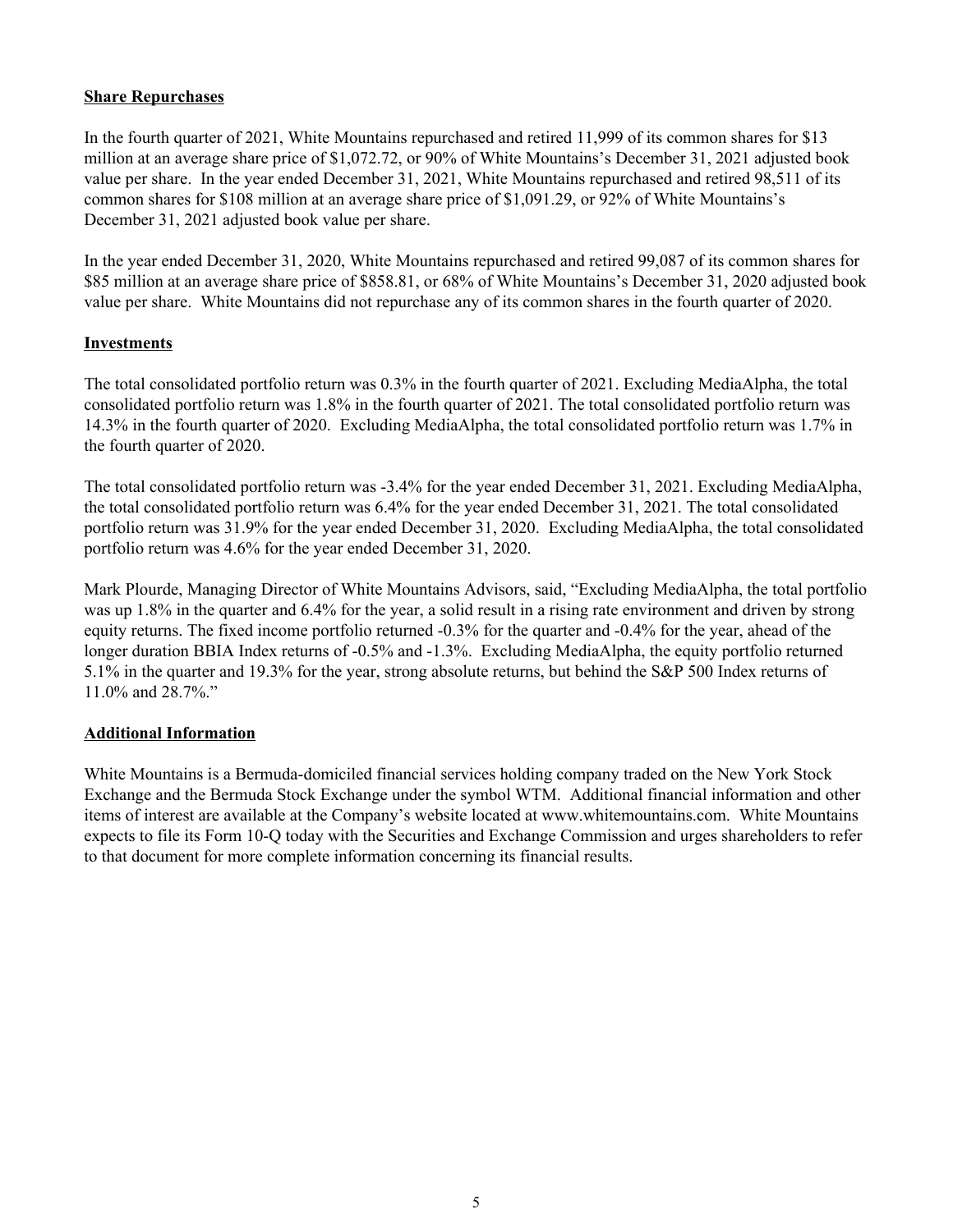### **Share Repurchases**

In the fourth quarter of 2021, White Mountains repurchased and retired 11,999 of its common shares for \$13 million at an average share price of \$1,072.72, or 90% of White Mountains's December 31, 2021 adjusted book value per share. In the year ended December 31, 2021, White Mountains repurchased and retired 98,511 of its common shares for \$108 million at an average share price of \$1,091.29, or 92% of White Mountains's December 31, 2021 adjusted book value per share.

In the year ended December 31, 2020, White Mountains repurchased and retired 99,087 of its common shares for \$85 million at an average share price of \$858.81, or 68% of White Mountains's December 31, 2020 adjusted book value per share. White Mountains did not repurchase any of its common shares in the fourth quarter of 2020.

# **Investments**

The total consolidated portfolio return was 0.3% in the fourth quarter of 2021. Excluding MediaAlpha, the total consolidated portfolio return was 1.8% in the fourth quarter of 2021. The total consolidated portfolio return was 14.3% in the fourth quarter of 2020. Excluding MediaAlpha, the total consolidated portfolio return was 1.7% in the fourth quarter of 2020.

The total consolidated portfolio return was -3.4% for the year ended December 31, 2021. Excluding MediaAlpha, the total consolidated portfolio return was 6.4% for the year ended December 31, 2021. The total consolidated portfolio return was 31.9% for the year ended December 31, 2020. Excluding MediaAlpha, the total consolidated portfolio return was 4.6% for the year ended December 31, 2020.

Mark Plourde, Managing Director of White Mountains Advisors, said, "Excluding MediaAlpha, the total portfolio was up 1.8% in the quarter and 6.4% for the year, a solid result in a rising rate environment and driven by strong equity returns. The fixed income portfolio returned -0.3% for the quarter and -0.4% for the year, ahead of the longer duration BBIA Index returns of -0.5% and -1.3%. Excluding MediaAlpha, the equity portfolio returned 5.1% in the quarter and 19.3% for the year, strong absolute returns, but behind the S&P 500 Index returns of 11.0% and 28.7%."

### **Additional Information**

White Mountains is a Bermuda-domiciled financial services holding company traded on the New York Stock Exchange and the Bermuda Stock Exchange under the symbol WTM. Additional financial information and other items of interest are available at the Company's website located at www.whitemountains.com. White Mountains expects to file its Form 10-Q today with the Securities and Exchange Commission and urges shareholders to refer to that document for more complete information concerning its financial results.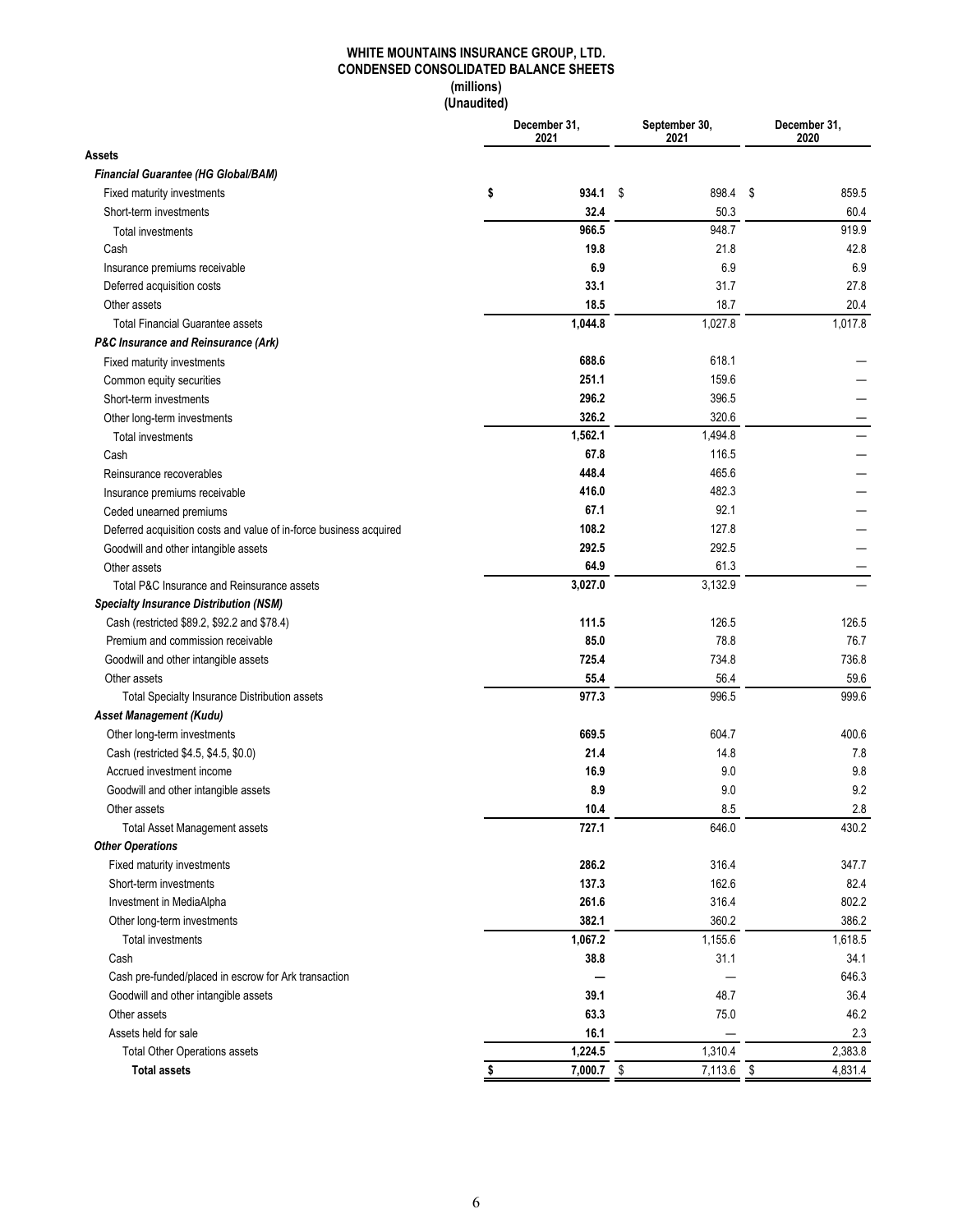### **WHITE MOUNTAINS INSURANCE GROUP, LTD. CONDENSED CONSOLIDATED BALANCE SHEETS (millions) (Unaudited)**

|                                                                    | December 31,<br>2021 |                 | September 30,<br>2021 | December 31,<br>2020 |
|--------------------------------------------------------------------|----------------------|-----------------|-----------------------|----------------------|
| Assets                                                             |                      |                 |                       |                      |
| Financial Guarantee (HG Global/BAM)                                |                      |                 |                       |                      |
| Fixed maturity investments                                         | \$                   | $934.1$ \$      | 898.4                 | \$<br>859.5          |
| Short-term investments                                             |                      | 32.4            | 50.3                  | 60.4                 |
| <b>Total investments</b>                                           |                      | 966.5           | 948.7                 | 919.9                |
| Cash                                                               |                      | 19.8            | 21.8                  | 42.8                 |
| Insurance premiums receivable                                      |                      | 6.9             | 6.9                   | 6.9                  |
| Deferred acquisition costs                                         |                      | 33.1            | 31.7                  | 27.8                 |
| Other assets                                                       |                      | 18.5            | 18.7                  | 20.4                 |
| <b>Total Financial Guarantee assets</b>                            |                      | 1,044.8         | 1,027.8               | 1,017.8              |
| P&C Insurance and Reinsurance (Ark)                                |                      |                 |                       |                      |
| Fixed maturity investments                                         |                      | 688.6           | 618.1                 |                      |
| Common equity securities                                           |                      | 251.1           | 159.6                 |                      |
| Short-term investments                                             |                      | 296.2           | 396.5                 |                      |
| Other long-term investments                                        |                      | 326.2           | 320.6                 |                      |
| Total investments                                                  |                      | 1,562.1         | 1.494.8               |                      |
| Cash                                                               |                      | 67.8            | 116.5                 |                      |
| Reinsurance recoverables                                           |                      | 448.4           | 465.6                 |                      |
| Insurance premiums receivable                                      |                      | 416.0           | 482.3                 |                      |
| Ceded unearned premiums                                            |                      | 67.1            | 92.1                  |                      |
| Deferred acquisition costs and value of in-force business acquired |                      | 108.2           | 127.8                 |                      |
| Goodwill and other intangible assets                               |                      | 292.5           | 292.5                 |                      |
| Other assets                                                       |                      | 64.9            | 61.3                  |                      |
| Total P&C Insurance and Reinsurance assets                         |                      | 3,027.0         | 3,132.9               |                      |
| <b>Specialty Insurance Distribution (NSM)</b>                      |                      |                 |                       |                      |
| Cash (restricted \$89.2, \$92.2 and \$78.4)                        |                      | 111.5           | 126.5                 | 126.5                |
| Premium and commission receivable                                  |                      | 85.0            | 78.8                  | 76.7                 |
| Goodwill and other intangible assets                               |                      | 725.4           | 734.8                 | 736.8                |
| Other assets                                                       |                      | 55.4            | 56.4                  | 59.6                 |
| Total Specialty Insurance Distribution assets                      |                      | 977.3           | 996.5                 | 999.6                |
| Asset Management (Kudu)                                            |                      |                 |                       |                      |
| Other long-term investments                                        |                      | 669.5           | 604.7                 | 400.6                |
| Cash (restricted \$4.5, \$4.5, \$0.0)                              |                      | 21.4            | 14.8                  | 7.8                  |
| Accrued investment income                                          |                      | 16.9            | 9.0                   | 9.8                  |
| Goodwill and other intangible assets                               |                      | 8.9             | 9.0                   | 9.2                  |
| Other assets                                                       |                      | 10.4            | 8.5                   | 2.8                  |
| <b>Total Asset Management assets</b>                               |                      | 727.1           | 646.0                 | 430.2                |
| <b>Other Operations</b>                                            |                      |                 |                       |                      |
| Fixed maturity investments                                         |                      | 286.2           | 316.4                 | 347.7                |
| Short-term investments                                             |                      | 137.3           | 162.6                 | 82.4                 |
| Investment in MediaAlpha                                           |                      | 261.6           | 316.4                 | 802.2                |
| Other long-term investments                                        |                      | 382.1           | 360.2                 | 386.2                |
| Total investments                                                  |                      | 1,067.2         | 1,155.6               | 1,618.5              |
| Cash                                                               |                      | 38.8            | 31.1                  | 34.1                 |
|                                                                    |                      |                 |                       | 646.3                |
| Cash pre-funded/placed in escrow for Ark transaction               |                      | 39.1            | 48.7                  | 36.4                 |
| Goodwill and other intangible assets<br>Other assets               |                      | 63.3            | 75.0                  | 46.2                 |
|                                                                    |                      |                 |                       |                      |
| Assets held for sale                                               |                      | 16.1<br>1,224.5 |                       | 2.3                  |
| <b>Total Other Operations assets</b>                               |                      |                 | 1,310.4               | 2,383.8              |
| <b>Total assets</b>                                                |                      | 7,000.7         | \$<br>7,113.6         | \$<br>4,831.4        |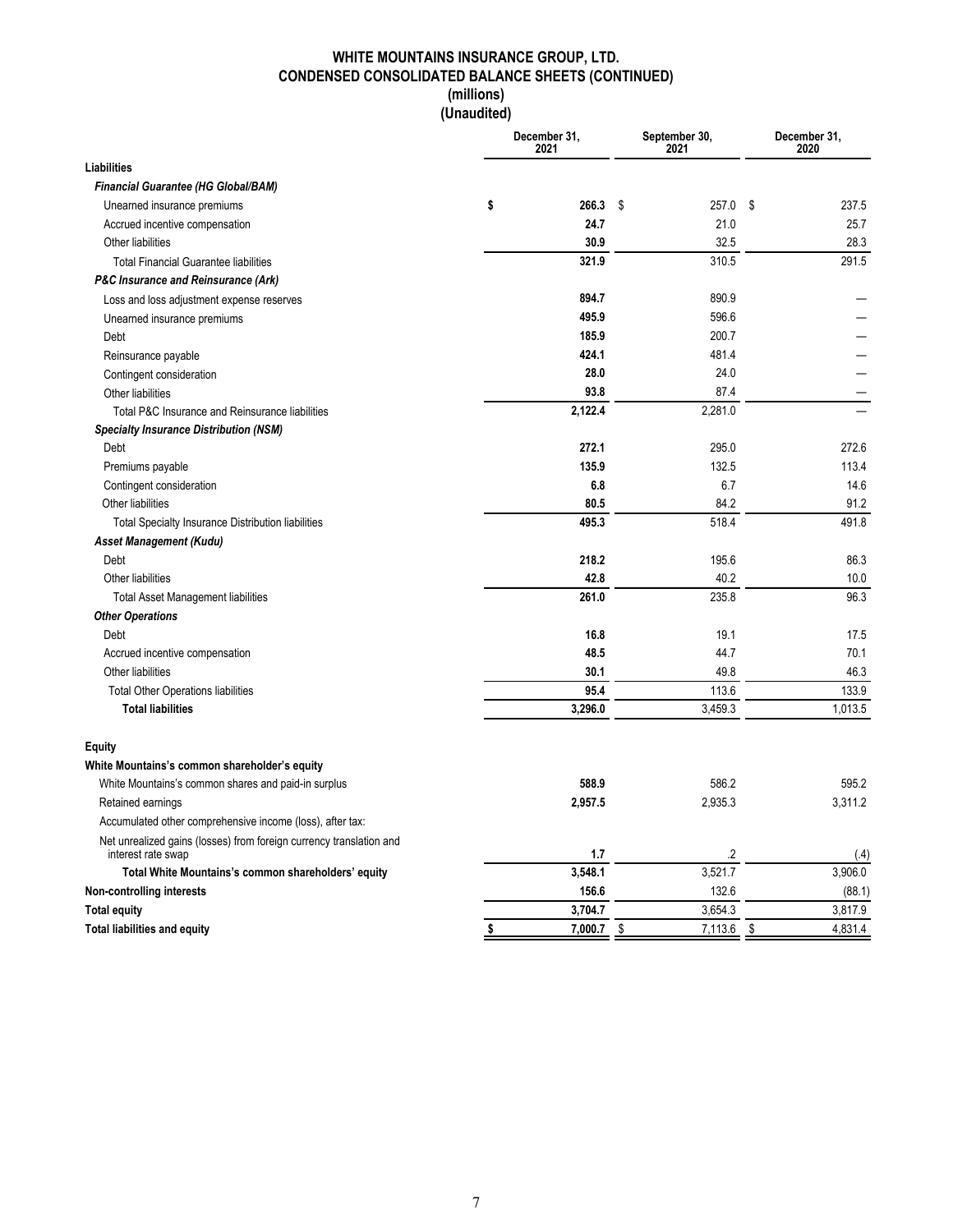### **WHITE MOUNTAINS INSURANCE GROUP, LTD. CONDENSED CONSOLIDATED BALANCE SHEETS (CONTINUED) (millions)**

**(Unaudited)**

|                                                                                           |    | December 31,<br>2021 | September 30,<br>2021 | December 31,<br>2020 |         |  |
|-------------------------------------------------------------------------------------------|----|----------------------|-----------------------|----------------------|---------|--|
| <b>Liabilities</b>                                                                        |    |                      |                       |                      |         |  |
| Financial Guarantee (HG Global/BAM)                                                       |    |                      |                       |                      |         |  |
| Unearned insurance premiums                                                               | \$ | 266.3                | \$<br>257.0           | \$                   | 237.5   |  |
| Accrued incentive compensation                                                            |    | 24.7                 | 21.0                  |                      | 25.7    |  |
| Other liabilities                                                                         |    | 30.9                 | 32.5                  |                      | 28.3    |  |
| <b>Total Financial Guarantee liabilities</b>                                              |    | 321.9                | 310.5                 |                      | 291.5   |  |
| <b>P&amp;C Insurance and Reinsurance (Ark)</b>                                            |    |                      |                       |                      |         |  |
| Loss and loss adjustment expense reserves                                                 |    | 894.7                | 890.9                 |                      |         |  |
| Unearned insurance premiums                                                               |    | 495.9                | 596.6                 |                      |         |  |
| Debt                                                                                      |    | 185.9                | 200.7                 |                      |         |  |
| Reinsurance payable                                                                       |    | 424.1                | 481.4                 |                      |         |  |
| Contingent consideration                                                                  |    | 28.0                 | 24.0                  |                      |         |  |
| Other liabilities                                                                         |    | 93.8                 | 87.4                  |                      |         |  |
| Total P&C Insurance and Reinsurance liabilities                                           |    | 2,122.4              | 2,281.0               |                      |         |  |
| <b>Specialty Insurance Distribution (NSM)</b>                                             |    |                      |                       |                      |         |  |
| Debt                                                                                      |    | 272.1                | 295.0                 |                      | 272.6   |  |
| Premiums payable                                                                          |    | 135.9                | 132.5                 |                      | 113.4   |  |
| Contingent consideration                                                                  |    | 6.8                  | 6.7                   |                      | 14.6    |  |
| Other liabilities                                                                         |    | 80.5                 | 84.2                  |                      | 91.2    |  |
| <b>Total Specialty Insurance Distribution liabilities</b>                                 |    | 495.3                | 518.4                 |                      | 491.8   |  |
| Asset Management (Kudu)                                                                   |    |                      |                       |                      |         |  |
| Debt                                                                                      |    | 218.2                | 195.6                 |                      | 86.3    |  |
| Other liabilities                                                                         |    | 42.8                 | 40.2                  |                      | 10.0    |  |
| <b>Total Asset Management liabilities</b>                                                 |    | 261.0                | 235.8                 |                      | 96.3    |  |
| <b>Other Operations</b>                                                                   |    |                      |                       |                      |         |  |
| Debt                                                                                      |    | 16.8                 | 19.1                  |                      | 17.5    |  |
| Accrued incentive compensation                                                            |    | 48.5                 | 44.7                  |                      | 70.1    |  |
| Other liabilities                                                                         |    | 30.1                 | 49.8                  |                      | 46.3    |  |
| <b>Total Other Operations liabilities</b>                                                 |    | 95.4                 | 113.6                 |                      | 133.9   |  |
| <b>Total liabilities</b>                                                                  |    | 3,296.0              | 3,459.3               |                      | 1,013.5 |  |
| Equity                                                                                    |    |                      |                       |                      |         |  |
| White Mountains's common shareholder's equity                                             |    |                      |                       |                      |         |  |
| White Mountains's common shares and paid-in surplus                                       |    | 588.9                | 586.2                 |                      | 595.2   |  |
| Retained earnings                                                                         |    | 2,957.5              | 2,935.3               |                      | 3,311.2 |  |
| Accumulated other comprehensive income (loss), after tax:                                 |    |                      |                       |                      |         |  |
| Net unrealized gains (losses) from foreign currency translation and<br>interest rate swap |    | 1.7                  | .2                    |                      | (.4)    |  |
| Total White Mountains's common shareholders' equity                                       |    | 3,548.1              | 3,521.7               |                      | 3,906.0 |  |
| Non-controlling interests                                                                 |    | 156.6                | 132.6                 |                      | (88.1)  |  |
| <b>Total equity</b>                                                                       |    | 3,704.7              | 3,654.3               |                      | 3,817.9 |  |
| <b>Total liabilities and equity</b>                                                       | \$ | 7,000.7              | \$<br>7,113.6         | -\$                  | 4,831.4 |  |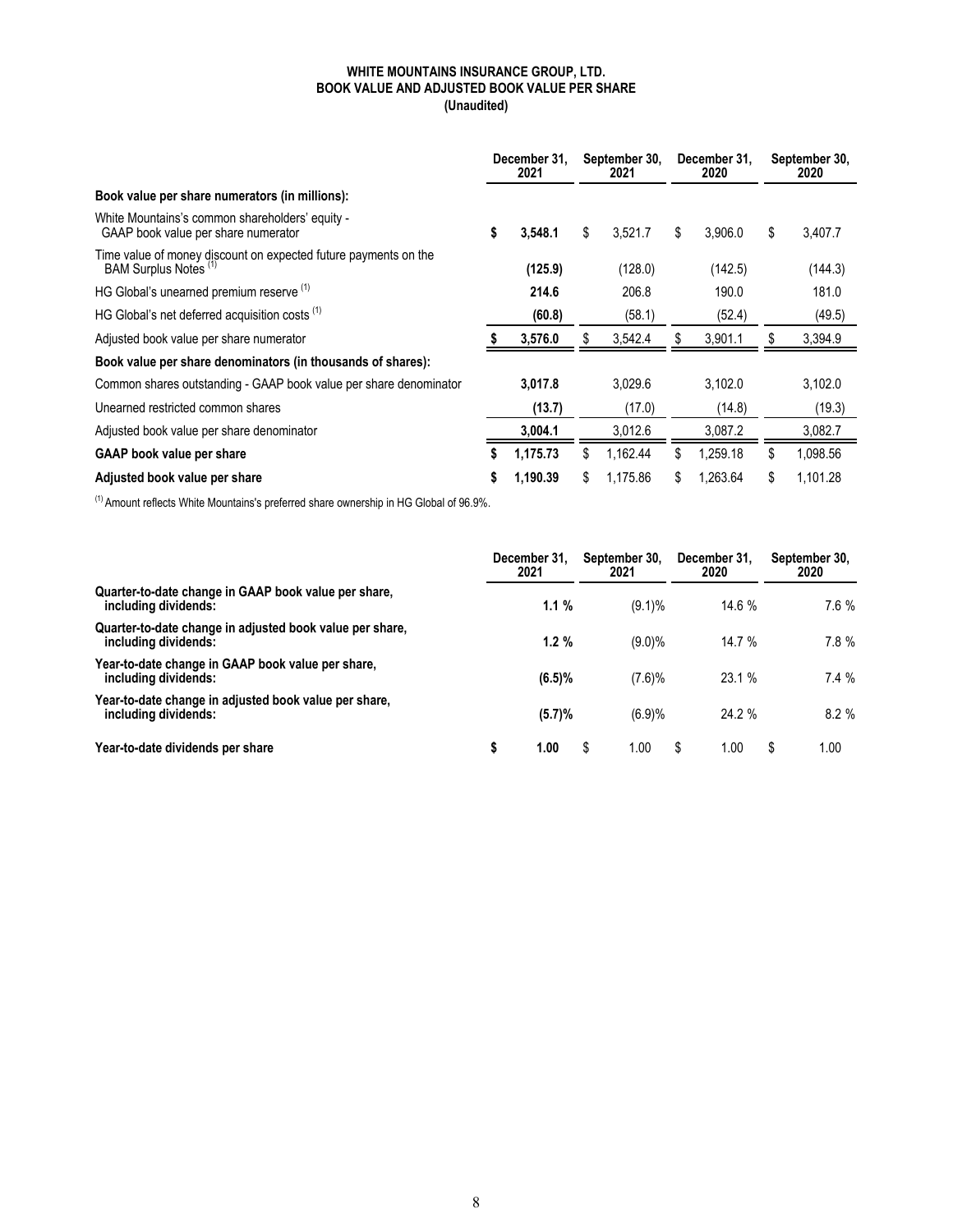### **WHITE MOUNTAINS INSURANCE GROUP, LTD. BOOK VALUE AND ADJUSTED BOOK VALUE PER SHARE (Unaudited)**

|                                                                                          | December 31.<br>2021 |          |                | September 30,<br>2021 |     | December 31.<br>2020 |    | September 30,<br>2020 |
|------------------------------------------------------------------------------------------|----------------------|----------|----------------|-----------------------|-----|----------------------|----|-----------------------|
| Book value per share numerators (in millions):                                           |                      |          |                |                       |     |                      |    |                       |
| White Mountains's common shareholders' equity -<br>GAAP book value per share numerator   | \$                   | 3,548.1  | \$             | 3,521.7               | S   | 3.906.0              | \$ | 3,407.7               |
| Time value of money discount on expected future payments on the<br>BAM Surplus Notes (1) |                      | (125.9)  |                | (128.0)               |     | (142.5)              |    | (144.3)               |
| HG Global's unearned premium reserve (1)                                                 |                      | 214.6    |                | 206.8                 |     | 190.0                |    | 181.0                 |
| HG Global's net deferred acquisition costs (1)                                           |                      | (60.8)   |                | (58.1)                |     | (52.4)               |    | (49.5)                |
| Adjusted book value per share numerator                                                  |                      | 3,576.0  |                | 3,542.4               |     | 3,901.1              | S  | 3,394.9               |
| Book value per share denominators (in thousands of shares):                              |                      |          |                |                       |     |                      |    |                       |
| Common shares outstanding - GAAP book value per share denominator                        |                      | 3,017.8  |                | 3,029.6               |     | 3,102.0              |    | 3,102.0               |
| Unearned restricted common shares                                                        |                      | (13.7)   |                | (17.0)                |     | (14.8)               |    | (19.3)                |
| Adjusted book value per share denominator                                                |                      | 3,004.1  |                | 3,012.6               |     | 3.087.2              |    | 3,082.7               |
| <b>GAAP</b> book value per share                                                         | 1,175.73             |          | \$             | 1.162.44              | \$. | 1,259.18             | \$ | 1,098.56              |
| Adjusted book value per share                                                            |                      | 1,190.39 | \$<br>1.175.86 |                       |     | 1.263.64             | \$ | 1.101.28              |

 $(1)$  Amount reflects White Mountains's preferred share ownership in HG Global of 96.9%.

|                                                                                  | December 31.<br>2021 | September 30,<br>2021 |  | December 31.<br>2020 |   | September 30,<br>2020 |
|----------------------------------------------------------------------------------|----------------------|-----------------------|--|----------------------|---|-----------------------|
| Quarter-to-date change in GAAP book value per share,<br>including dividends:     | 1.1%                 | $(9.1)\%$             |  | 14.6 %               |   | $7.6\%$               |
| Quarter-to-date change in adjusted book value per share.<br>including dividends: | 1.2%                 | $(9.0)\%$             |  | 14.7 %               |   | 7.8%                  |
| Year-to-date change in GAAP book value per share,<br>including dividends:        | (6.5)%               | (7.6)%                |  | 23.1 %               |   | 7.4%                  |
| Year-to-date change in adjusted book value per share,<br>including dividends:    | (5.7)%               | (6.9)%                |  | 24.2 %               |   | 8.2%                  |
| Year-to-date dividends per share                                                 | 1.00                 | \$<br>0.00            |  | 0.00                 | S | 1.00                  |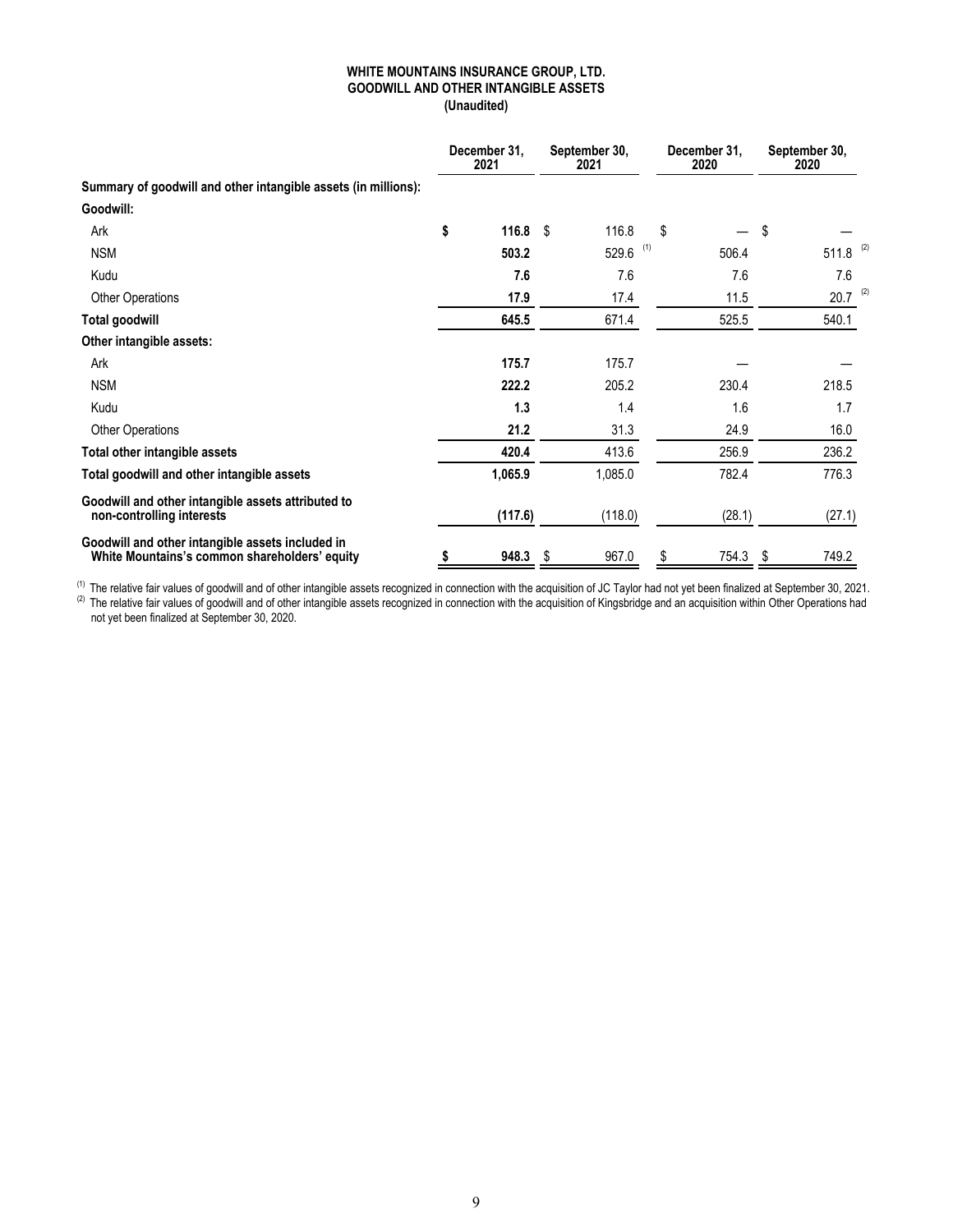### **WHITE MOUNTAINS INSURANCE GROUP, LTD. GOODWILL AND OTHER INTANGIBLE ASSETS (Unaudited)**

|                                                                                                   |    | December 31,<br>2021 |    | September 30,<br>2021 | December 31,<br>2020 | September 30, |        |     |
|---------------------------------------------------------------------------------------------------|----|----------------------|----|-----------------------|----------------------|---------------|--------|-----|
| Summary of goodwill and other intangible assets (in millions):                                    |    |                      |    |                       |                      |               |        |     |
| Goodwill:                                                                                         |    |                      |    |                       |                      |               |        |     |
| Ark                                                                                               | \$ | 116.8                | S  | 116.8                 | \$                   | \$            |        |     |
| <b>NSM</b>                                                                                        |    | 503.2                |    | $529.6$ (1)           | 506.4                |               | 511.8  | (2) |
| Kudu                                                                                              |    | 7.6                  |    | 7.6                   | 7.6                  |               | 7.6    |     |
| <b>Other Operations</b>                                                                           |    | 17.9                 |    | 17.4                  | 11.5                 |               | 20.7   | (2) |
| Total goodwill                                                                                    |    | 645.5                |    | 671.4                 | 525.5                |               | 540.1  |     |
| Other intangible assets:                                                                          |    |                      |    |                       |                      |               |        |     |
| Ark                                                                                               |    | 175.7                |    | 175.7                 |                      |               |        |     |
| <b>NSM</b>                                                                                        |    | 222.2                |    | 205.2                 | 230.4                |               | 218.5  |     |
| Kudu                                                                                              |    | 1.3                  |    | 1.4                   | 1.6                  |               | 1.7    |     |
| <b>Other Operations</b>                                                                           |    | 21.2                 |    | 31.3                  | 24.9                 |               | 16.0   |     |
| Total other intangible assets                                                                     |    | 420.4                |    | 413.6                 | 256.9                |               | 236.2  |     |
| Total goodwill and other intangible assets                                                        |    | 1,065.9              |    | 1,085.0               | 782.4                |               | 776.3  |     |
| Goodwill and other intangible assets attributed to<br>non-controlling interests                   |    | (117.6)              |    | (118.0)               | (28.1)               |               | (27.1) |     |
| Goodwill and other intangible assets included in<br>White Mountains's common shareholders' equity | \$ | 948.3                | \$ | 967.0                 | \$<br>754.3          | \$            | 749.2  |     |

<sup>(1)</sup> The relative fair values of goodwill and of other intangible assets recognized in connection with the acquisition of JC Taylor had not yet been finalized at September 30, 2021.  $^{(2)}$  The relative fair values of goodwill and of other intangible assets recognized in connection with the acquisition of Kingsbridge and an acquisition within Other Operations had not yet been finalized at September 30, 2020.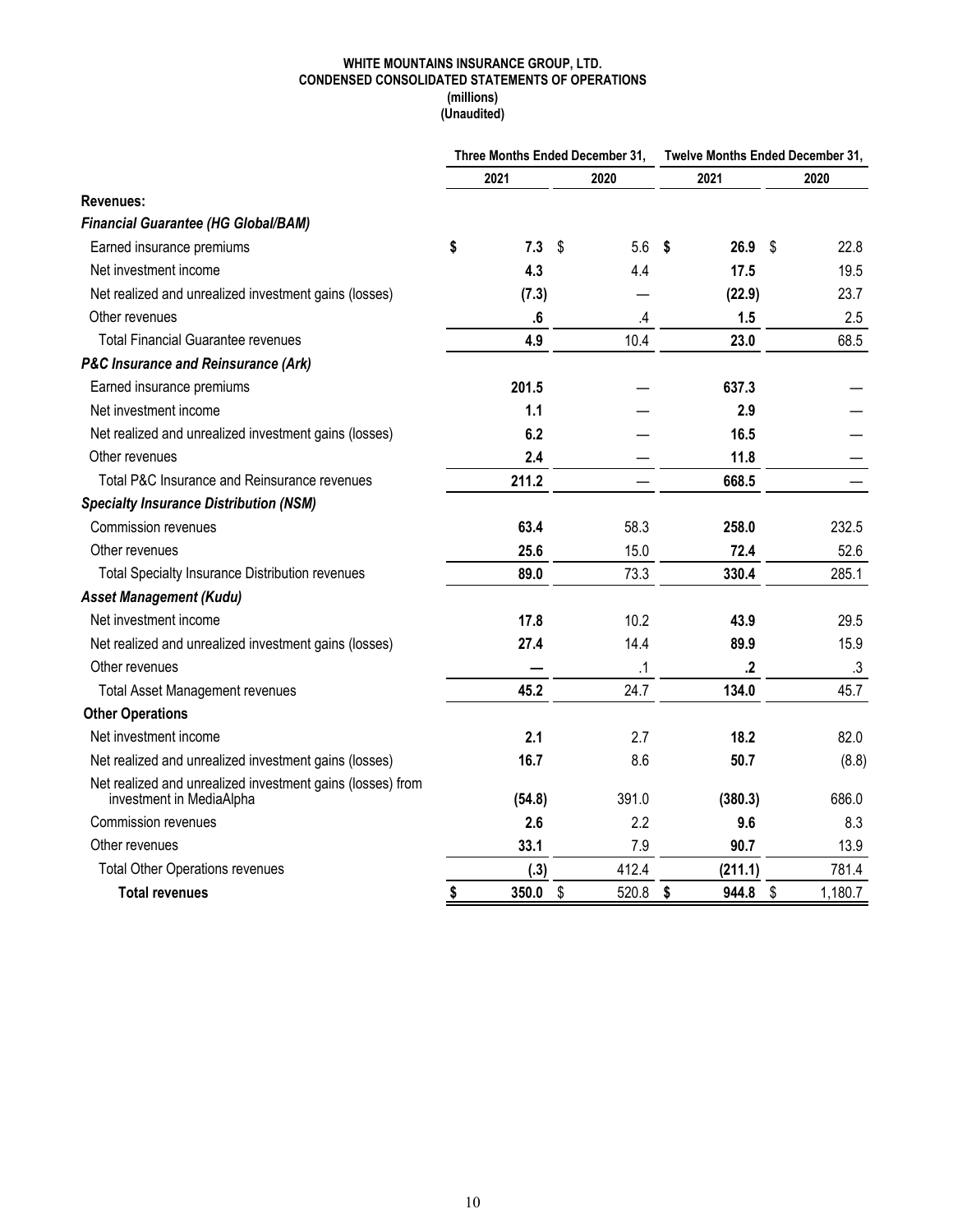### **WHITE MOUNTAINS INSURANCE GROUP, LTD. CONDENSED CONSOLIDATED STATEMENTS OF OPERATIONS (millions)**

**(Unaudited)**

|                                                                                        |             | Three Months Ended December 31, |    | Twelve Months Ended December 31, |              |         |
|----------------------------------------------------------------------------------------|-------------|---------------------------------|----|----------------------------------|--------------|---------|
|                                                                                        | 2021        | 2020                            |    | 2021                             |              | 2020    |
| Revenues:                                                                              |             |                                 |    |                                  |              |         |
| <b>Financial Guarantee (HG Global/BAM)</b>                                             |             |                                 |    |                                  |              |         |
| Earned insurance premiums                                                              | \$<br>7.3   | \$<br>5.6                       | \$ | 26.9                             | $\mathbb{S}$ | 22.8    |
| Net investment income                                                                  | 4.3         | 4.4                             |    | 17.5                             |              | 19.5    |
| Net realized and unrealized investment gains (losses)                                  | (7.3)       |                                 |    | (22.9)                           |              | 23.7    |
| Other revenues                                                                         | ${\bf .6}$  | .4                              |    | 1.5                              |              | 2.5     |
| <b>Total Financial Guarantee revenues</b>                                              | 4.9         | 10.4                            |    | 23.0                             |              | 68.5    |
| <b>P&amp;C Insurance and Reinsurance (Ark)</b>                                         |             |                                 |    |                                  |              |         |
| Earned insurance premiums                                                              | 201.5       |                                 |    | 637.3                            |              |         |
| Net investment income                                                                  | 1.1         |                                 |    | 2.9                              |              |         |
| Net realized and unrealized investment gains (losses)                                  | 6.2         |                                 |    | 16.5                             |              |         |
| Other revenues                                                                         | 2.4         |                                 |    | 11.8                             |              |         |
| Total P&C Insurance and Reinsurance revenues                                           | 211.2       |                                 |    | 668.5                            |              |         |
| <b>Specialty Insurance Distribution (NSM)</b>                                          |             |                                 |    |                                  |              |         |
| Commission revenues                                                                    | 63.4        | 58.3                            |    | 258.0                            |              | 232.5   |
| Other revenues                                                                         | 25.6        | 15.0                            |    | 72.4                             |              | 52.6    |
| <b>Total Specialty Insurance Distribution revenues</b>                                 | 89.0        | 73.3                            |    | 330.4                            |              | 285.1   |
| <b>Asset Management (Kudu)</b>                                                         |             |                                 |    |                                  |              |         |
| Net investment income                                                                  | 17.8        | 10.2                            |    | 43.9                             |              | 29.5    |
| Net realized and unrealized investment gains (losses)                                  | 27.4        | 14.4                            |    | 89.9                             |              | 15.9    |
| Other revenues                                                                         |             | $\cdot$ 1                       |    | $\cdot$                          |              | .3      |
| <b>Total Asset Management revenues</b>                                                 | 45.2        | 24.7                            |    | 134.0                            |              | 45.7    |
| <b>Other Operations</b>                                                                |             |                                 |    |                                  |              |         |
| Net investment income                                                                  | 2.1         | 2.7                             |    | 18.2                             |              | 82.0    |
| Net realized and unrealized investment gains (losses)                                  | 16.7        | 8.6                             |    | 50.7                             |              | (8.8)   |
| Net realized and unrealized investment gains (losses) from<br>investment in MediaAlpha | (54.8)      | 391.0                           |    | (380.3)                          |              | 686.0   |
| Commission revenues                                                                    | 2.6         | 2.2                             |    | 9.6                              |              | 8.3     |
| Other revenues                                                                         | 33.1        | 7.9                             |    | 90.7                             |              | 13.9    |
| <b>Total Other Operations revenues</b>                                                 | (.3)        | 412.4                           |    | (211.1)                          |              | 781.4   |
| <b>Total revenues</b>                                                                  | \$<br>350.0 | \$<br>520.8                     | \$ | 944.8                            | \$           | 1,180.7 |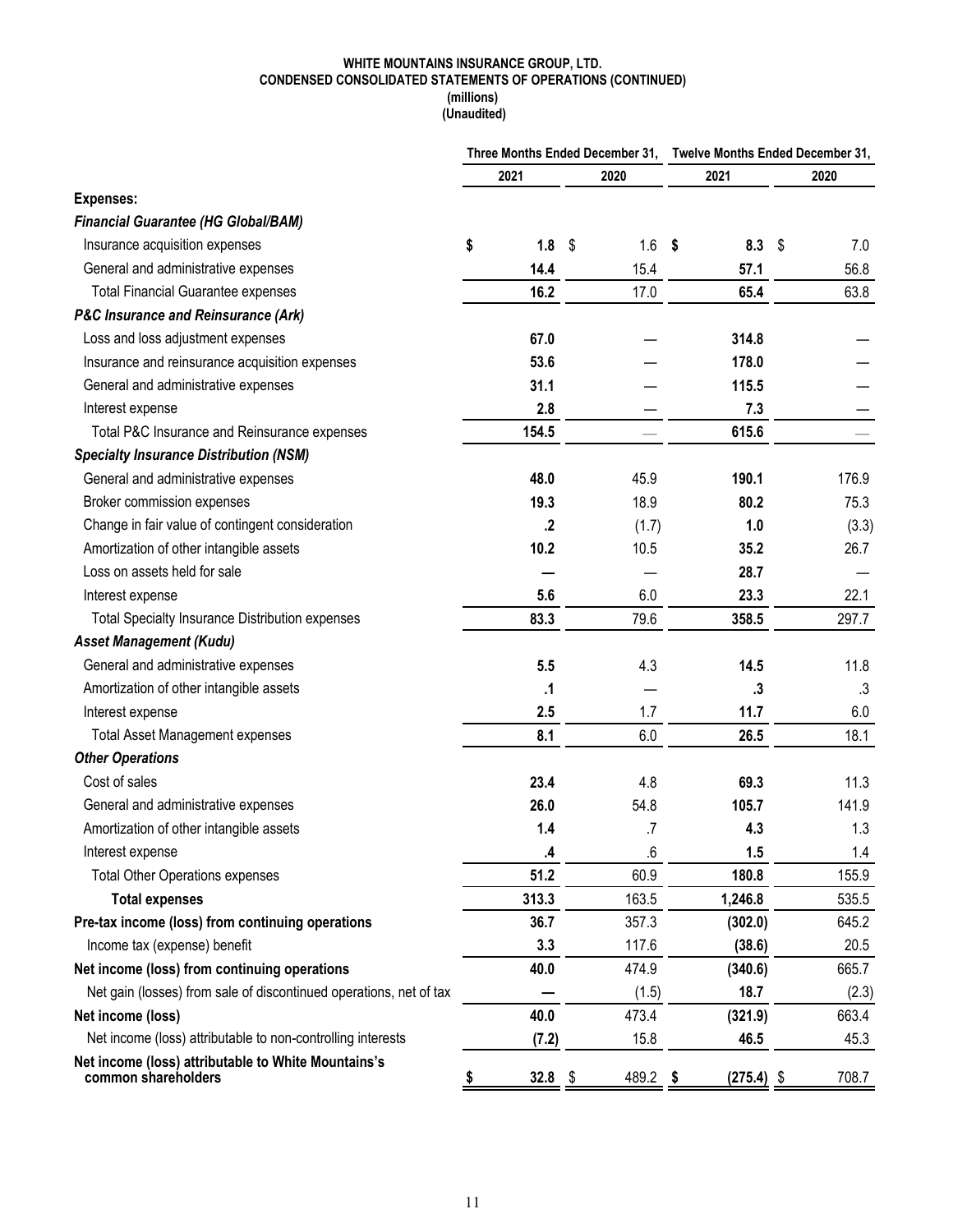#### **WHITE MOUNTAINS INSURANCE GROUP, LTD. CONDENSED CONSOLIDATED STATEMENTS OF OPERATIONS (CONTINUED) (millions)**

 **(Unaudited)**

|                                                                            |            | Three Months Ended December 31, Twelve Months Ended December 31, |      |              |      |           |  |  |
|----------------------------------------------------------------------------|------------|------------------------------------------------------------------|------|--------------|------|-----------|--|--|
|                                                                            | 2021       | 2020                                                             |      | 2021         |      | 2020      |  |  |
| <b>Expenses:</b>                                                           |            |                                                                  |      |              |      |           |  |  |
| <b>Financial Guarantee (HG Global/BAM)</b>                                 |            |                                                                  |      |              |      |           |  |  |
| Insurance acquisition expenses                                             | \$<br>1.8  | 1.6<br>\$                                                        | - \$ | 8.3          | - \$ | 7.0       |  |  |
| General and administrative expenses                                        | 14.4       | 15.4                                                             |      | 57.1         |      | 56.8      |  |  |
| <b>Total Financial Guarantee expenses</b>                                  | 16.2       | 17.0                                                             |      | 65.4         |      | 63.8      |  |  |
| <b>P&amp;C Insurance and Reinsurance (Ark)</b>                             |            |                                                                  |      |              |      |           |  |  |
| Loss and loss adjustment expenses                                          | 67.0       |                                                                  |      | 314.8        |      |           |  |  |
| Insurance and reinsurance acquisition expenses                             | 53.6       |                                                                  |      | 178.0        |      |           |  |  |
| General and administrative expenses                                        | 31.1       |                                                                  |      | 115.5        |      |           |  |  |
| Interest expense                                                           | 2.8        |                                                                  |      | 7.3          |      |           |  |  |
| Total P&C Insurance and Reinsurance expenses                               | 154.5      |                                                                  |      | 615.6        |      |           |  |  |
| <b>Specialty Insurance Distribution (NSM)</b>                              |            |                                                                  |      |              |      |           |  |  |
| General and administrative expenses                                        | 48.0       | 45.9                                                             |      | 190.1        |      | 176.9     |  |  |
| Broker commission expenses                                                 | 19.3       | 18.9                                                             |      | 80.2         |      | 75.3      |  |  |
| Change in fair value of contingent consideration                           | $\cdot$    | (1.7)                                                            |      | 1.0          |      | (3.3)     |  |  |
| Amortization of other intangible assets                                    | 10.2       | 10.5                                                             |      | 35.2         |      | 26.7      |  |  |
| Loss on assets held for sale                                               |            |                                                                  |      | 28.7         |      |           |  |  |
| Interest expense                                                           | 5.6        | 6.0                                                              |      | 23.3         |      | 22.1      |  |  |
| <b>Total Specialty Insurance Distribution expenses</b>                     | 83.3       | 79.6                                                             |      | 358.5        |      | 297.7     |  |  |
| <b>Asset Management (Kudu)</b>                                             |            |                                                                  |      |              |      |           |  |  |
| General and administrative expenses                                        | 5.5        | 4.3                                                              |      | 14.5         |      | 11.8      |  |  |
| Amortization of other intangible assets                                    | .1         |                                                                  |      | .3           |      | $\cdot$ 3 |  |  |
| Interest expense                                                           | 2.5        | 1.7                                                              |      | 11.7         |      | 6.0       |  |  |
| <b>Total Asset Management expenses</b>                                     | 8.1        | 6.0                                                              |      | 26.5         |      | 18.1      |  |  |
| <b>Other Operations</b>                                                    |            |                                                                  |      |              |      |           |  |  |
| Cost of sales                                                              | 23.4       | 4.8                                                              |      | 69.3         |      | 11.3      |  |  |
| General and administrative expenses                                        | 26.0       | 54.8                                                             |      | 105.7        |      | 141.9     |  |  |
| Amortization of other intangible assets                                    | 1.4        | .7                                                               |      | 4.3          |      | 1.3       |  |  |
| Interest expense                                                           | 4.         | .6                                                               |      | 1.5          |      | 1.4       |  |  |
| <b>Total Other Operations expenses</b>                                     | 51.2       | 60.9                                                             |      | 180.8        |      | 155.9     |  |  |
| <b>Total expenses</b>                                                      | 313.3      | 163.5                                                            |      | 1,246.8      |      | 535.5     |  |  |
| Pre-tax income (loss) from continuing operations                           | 36.7       | 357.3                                                            |      | (302.0)      |      | 645.2     |  |  |
| Income tax (expense) benefit                                               | 3.3        | 117.6                                                            |      | (38.6)       |      | 20.5      |  |  |
| Net income (loss) from continuing operations                               | 40.0       | 474.9                                                            |      | (340.6)      |      | 665.7     |  |  |
| Net gain (losses) from sale of discontinued operations, net of tax         |            | (1.5)                                                            |      | 18.7         |      | (2.3)     |  |  |
| Net income (loss)                                                          | 40.0       | 473.4                                                            |      | (321.9)      |      | 663.4     |  |  |
| Net income (loss) attributable to non-controlling interests                | (7.2)      | 15.8                                                             |      | 46.5         |      | 45.3      |  |  |
| Net income (loss) attributable to White Mountains's<br>common shareholders | \$<br>32.8 | 489.2 \$<br>-\$                                                  |      | $(275.4)$ \$ |      | 708.7     |  |  |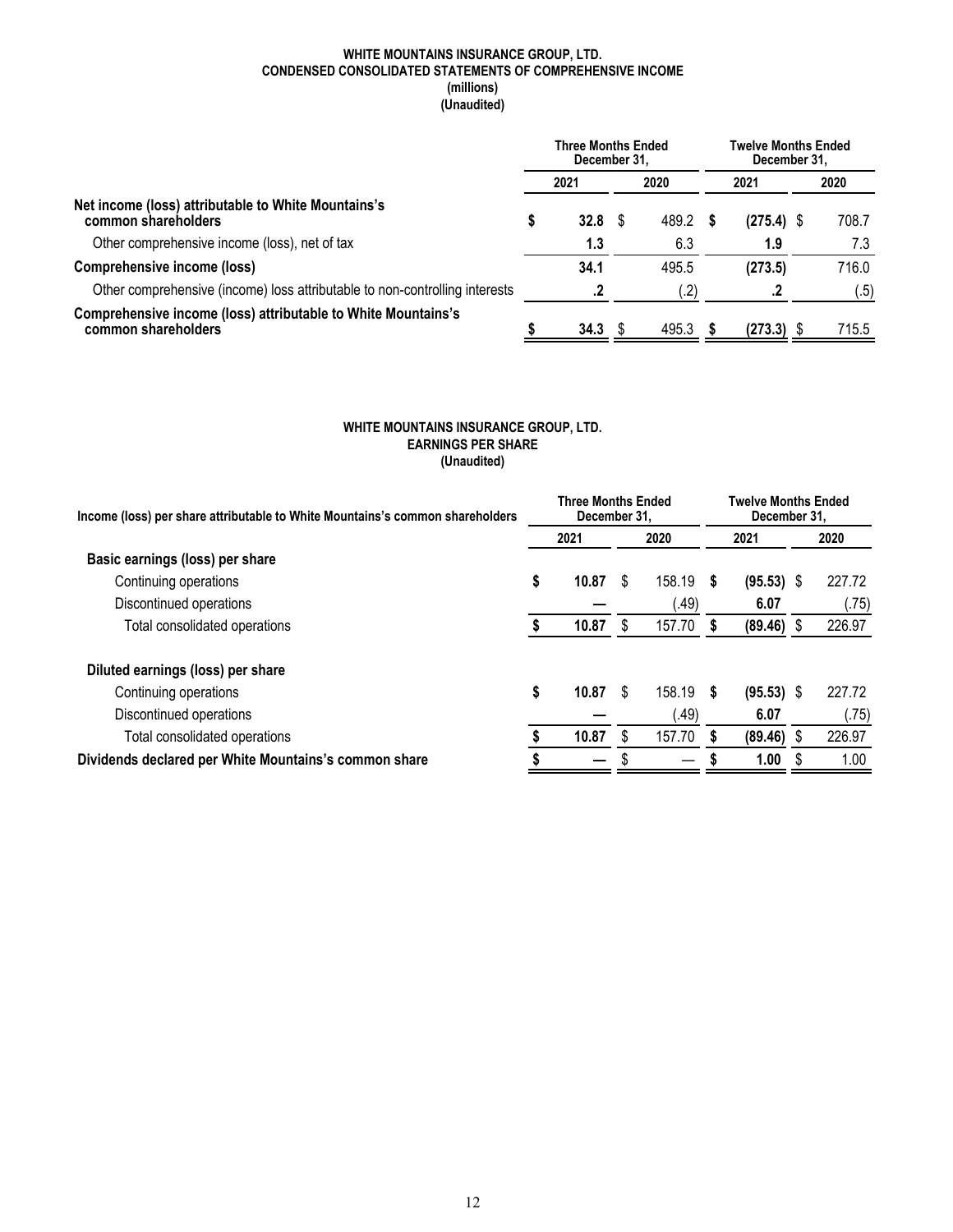#### **WHITE MOUNTAINS INSURANCE GROUP, LTD. CONDENSED CONSOLIDATED STATEMENTS OF COMPREHENSIVE INCOME (millions) (Unaudited)**

|                                                                                      |   | <b>Three Months Ended</b><br>December 31. |       |  | Twelve Months Ended<br>December 31. |  |       |
|--------------------------------------------------------------------------------------|---|-------------------------------------------|-------|--|-------------------------------------|--|-------|
|                                                                                      |   | 2021                                      | 2020  |  | 2021                                |  | 2020  |
| Net income (loss) attributable to White Mountains's<br>common shareholders           | S | 32.8                                      | 489.2 |  | $(275.4)$ \$                        |  | 708.7 |
| Other comprehensive income (loss), net of tax                                        |   | 1.3                                       | 6.3   |  | 1.9                                 |  | 7.3   |
| <b>Comprehensive income (loss)</b>                                                   |   | 34.1                                      | 495.5 |  | (273.5)                             |  | 716.0 |
| Other comprehensive (income) loss attributable to non-controlling interests          |   |                                           | .2)   |  |                                     |  | (.5)  |
| Comprehensive income (loss) attributable to White Mountains's<br>common shareholders |   | 34.3                                      | 495.3 |  | (273.3)                             |  | 715.5 |

### **WHITE MOUNTAINS INSURANCE GROUP, LTD. EARNINGS PER SHARE (Unaudited)**

| Income (loss) per share attributable to White Mountains's common shareholders |    | <b>Three Months Ended</b><br>December 31. |   |        |     | <b>Twelve Months Ended</b><br>December 31. |    |        |  |
|-------------------------------------------------------------------------------|----|-------------------------------------------|---|--------|-----|--------------------------------------------|----|--------|--|
|                                                                               |    | 2021                                      |   | 2020   |     | 2021                                       |    | 2020   |  |
| Basic earnings (loss) per share                                               |    |                                           |   |        |     |                                            |    |        |  |
| Continuing operations                                                         | \$ | 10.87                                     | S | 158.19 | 5   | $(95.53)$ \$                               |    | 227.72 |  |
| Discontinued operations                                                       |    |                                           |   | .49)   |     | 6.07                                       |    | (.75)  |  |
| Total consolidated operations                                                 |    | 10.87                                     | S | 157.70 |     | $(89.46)$ \$                               |    | 226.97 |  |
| Diluted earnings (loss) per share                                             |    |                                           |   |        |     |                                            |    |        |  |
| Continuing operations                                                         | \$ | 10.87                                     | S | 158.19 | - S | $(95.53)$ \$                               |    | 227.72 |  |
| Discontinued operations                                                       |    |                                           |   | .49)   |     | 6.07                                       |    | (.75)  |  |
| Total consolidated operations                                                 |    | 10.87                                     | S | 157.70 |     | $(89.46)$ \$                               |    | 226.97 |  |
| Dividends declared per White Mountains's common share                         |    |                                           |   |        |     | 1.00                                       | \$ | 1.00   |  |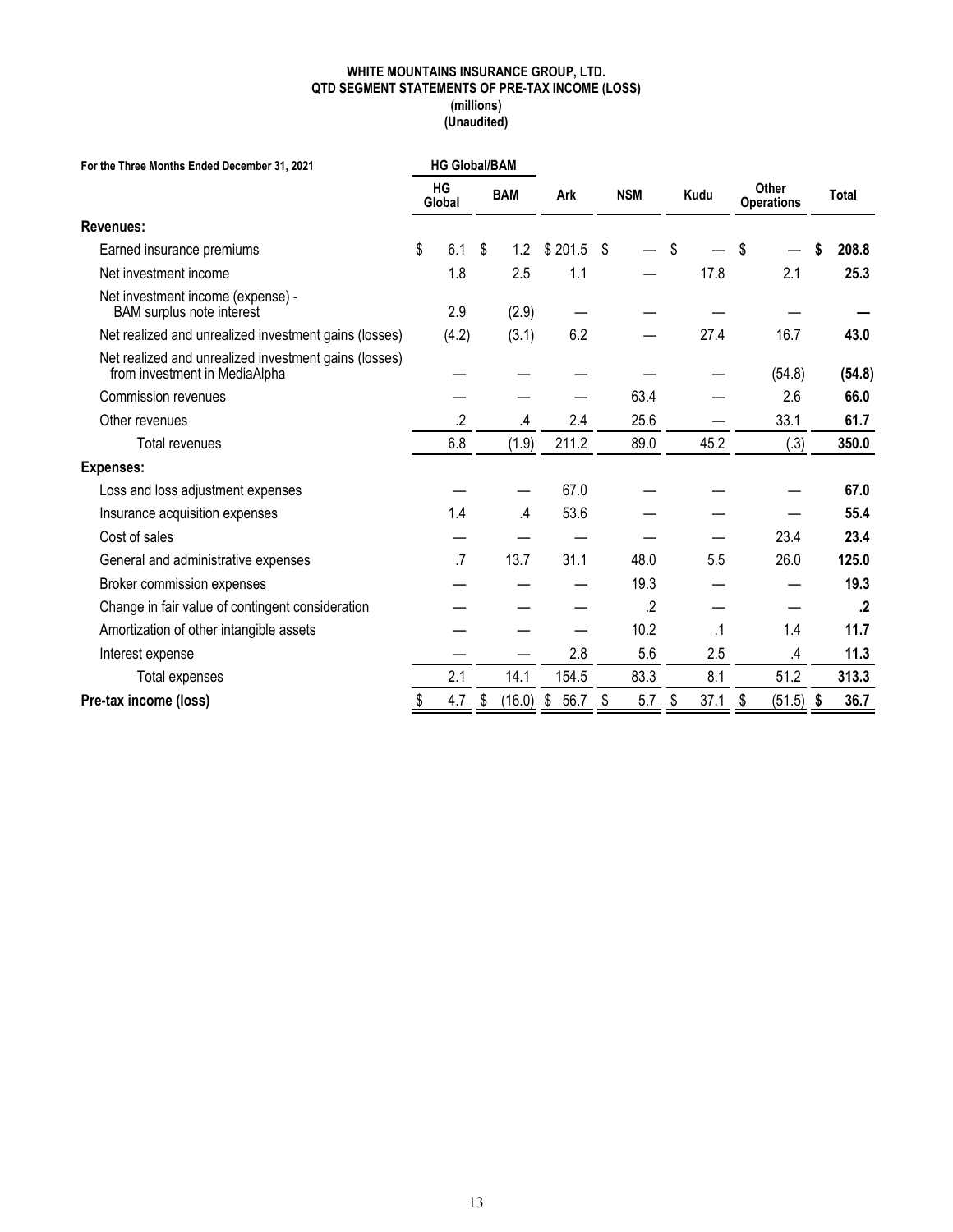#### **WHITE MOUNTAINS INSURANCE GROUP, LTD. QTD SEGMENT STATEMENTS OF PRE-TAX INCOME (LOSS) (millions) (Unaudited)**

| For the Three Months Ended December 31, 2021                                           |    | <b>HG Global/BAM</b> |               |            |    |            |    |      |    |               |            |                                   |              |
|----------------------------------------------------------------------------------------|----|----------------------|---------------|------------|----|------------|----|------|----|---------------|------------|-----------------------------------|--------------|
|                                                                                        |    | HG<br>Global         | <b>BAM</b>    | Ark        |    | <b>NSM</b> |    |      |    | Kudu          |            | <b>Other</b><br><b>Operations</b> | <b>Total</b> |
| Revenues:                                                                              |    |                      |               |            |    |            |    |      |    |               |            |                                   |              |
| Earned insurance premiums                                                              | \$ | 6.1                  | \$<br>1.2     | \$201.5    | \$ |            | \$ |      | \$ |               | 208.8      |                                   |              |
| Net investment income                                                                  |    | 1.8                  | 2.5           | 1.1        |    |            |    | 17.8 |    | 2.1           | 25.3       |                                   |              |
| Net investment income (expense) -<br><b>BAM</b> surplus note interest                  |    | 2.9                  | (2.9)         |            |    |            |    |      |    |               |            |                                   |              |
| Net realized and unrealized investment gains (losses)                                  |    | (4.2)                | (3.1)         | 6.2        |    |            |    | 27.4 |    | 16.7          | 43.0       |                                   |              |
| Net realized and unrealized investment gains (losses)<br>from investment in MediaAlpha |    |                      |               |            |    |            |    |      |    | (54.8)        | (54.8)     |                                   |              |
| Commission revenues                                                                    |    |                      |               |            |    | 63.4       |    |      |    | 2.6           | 66.0       |                                   |              |
| Other revenues                                                                         |    | $\cdot$              | $\mathcal{A}$ | 2.4        |    | 25.6       |    |      |    | 33.1          | 61.7       |                                   |              |
| Total revenues                                                                         |    | 6.8                  | (1.9)         | 211.2      |    | 89.0       |    | 45.2 |    | (.3)          | 350.0      |                                   |              |
| <b>Expenses:</b>                                                                       |    |                      |               |            |    |            |    |      |    |               |            |                                   |              |
| Loss and loss adjustment expenses                                                      |    |                      |               | 67.0       |    |            |    |      |    |               | 67.0       |                                   |              |
| Insurance acquisition expenses                                                         |    | 1.4                  | $\mathcal{A}$ | 53.6       |    |            |    |      |    |               | 55.4       |                                   |              |
| Cost of sales                                                                          |    |                      |               |            |    |            |    |      |    | 23.4          | 23.4       |                                   |              |
| General and administrative expenses                                                    |    | $\overline{.7}$      | 13.7          | 31.1       |    | 48.0       |    | 5.5  |    | 26.0          | 125.0      |                                   |              |
| Broker commission expenses                                                             |    |                      |               |            |    | 19.3       |    |      |    |               | 19.3       |                                   |              |
| Change in fair value of contingent consideration                                       |    |                      |               |            |    | .2         |    |      |    |               | $\cdot$    |                                   |              |
| Amortization of other intangible assets                                                |    |                      |               |            |    | 10.2       |    | .1   |    | 1.4           | 11.7       |                                   |              |
| Interest expense                                                                       |    |                      |               | 2.8        |    | 5.6        |    | 2.5  |    | $\mathcal{A}$ | 11.3       |                                   |              |
| <b>Total expenses</b>                                                                  |    | 2.1                  | 14.1          | 154.5      |    | 83.3       |    | 8.1  |    | 51.2          | 313.3      |                                   |              |
| Pre-tax income (loss)                                                                  | \$ | 4.7                  | \$<br>(16.0)  | \$<br>56.7 | \$ | 5.7        | \$ | 37.1 | \$ | (51.5)        | \$<br>36.7 |                                   |              |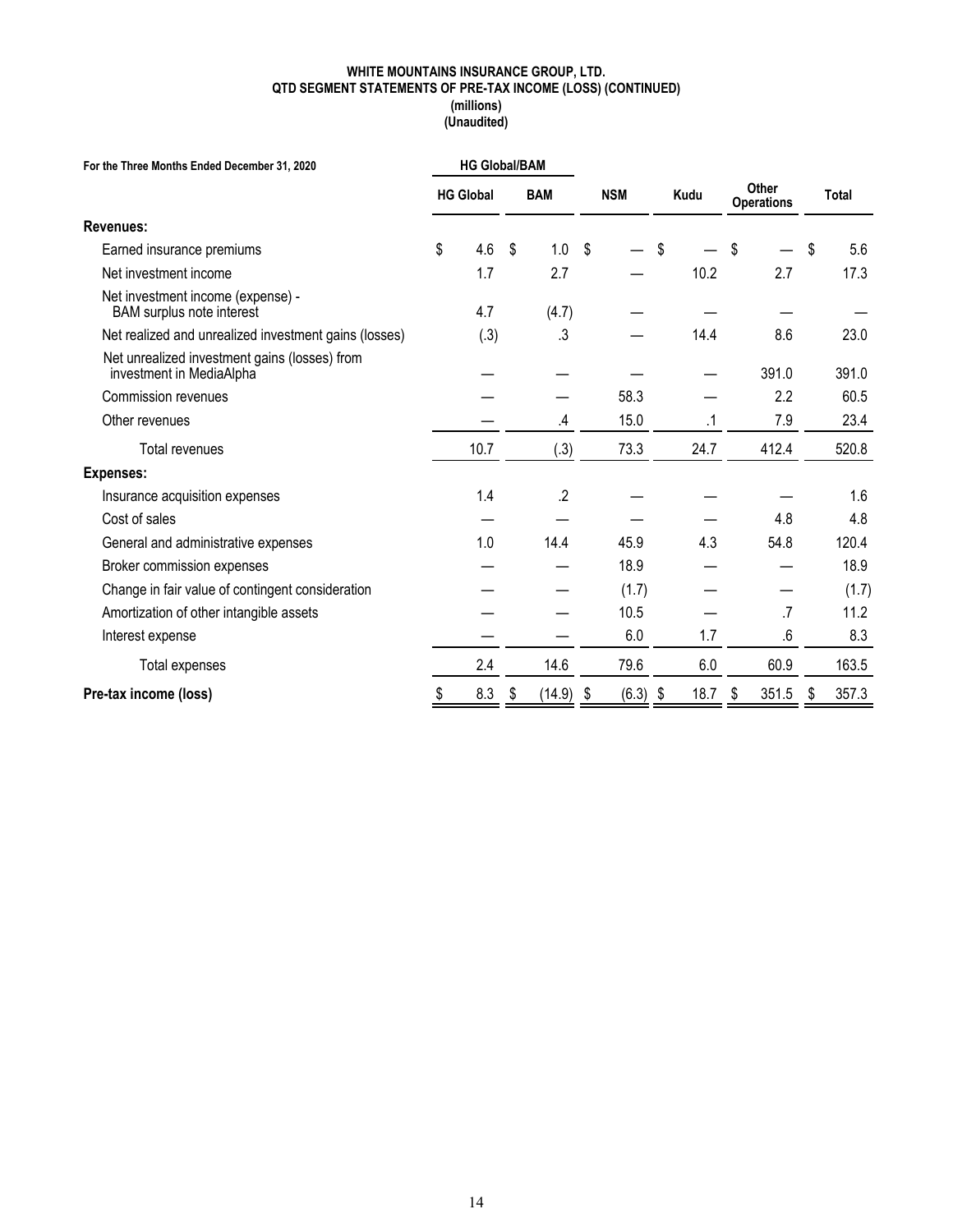#### **WHITE MOUNTAINS INSURANCE GROUP, LTD. QTD SEGMENT STATEMENTS OF PRE-TAX INCOME (LOSS) (CONTINUED) (millions) (Unaudited)**

| For the Three Months Ended December 31, 2020                              |                                | <b>HG Global/BAM</b> |                    |             |    |                            |    |       |       |       |
|---------------------------------------------------------------------------|--------------------------------|----------------------|--------------------|-------------|----|----------------------------|----|-------|-------|-------|
|                                                                           | <b>BAM</b><br><b>HG Global</b> |                      | <b>NSM</b><br>Kudu |             |    | Other<br><b>Operations</b> |    |       | Total |       |
| <b>Revenues:</b>                                                          |                                |                      |                    |             |    |                            |    |       |       |       |
| Earned insurance premiums                                                 | \$                             | 4.6                  | \$<br>1.0          | \$          | \$ |                            | S  |       | S     | 5.6   |
| Net investment income                                                     |                                | 1.7                  | 2.7                |             |    | 10.2                       |    | 2.7   |       | 17.3  |
| Net investment income (expense) -<br><b>BAM</b> surplus note interest     |                                | 4.7                  | (4.7)              |             |    |                            |    |       |       |       |
| Net realized and unrealized investment gains (losses)                     |                                | (.3)                 | .3                 |             |    | 14.4                       |    | 8.6   |       | 23.0  |
| Net unrealized investment gains (losses) from<br>investment in MediaAlpha |                                |                      |                    |             |    |                            |    | 391.0 |       | 391.0 |
| Commission revenues                                                       |                                |                      |                    | 58.3        |    |                            |    | 2.2   |       | 60.5  |
| Other revenues                                                            |                                |                      | .4                 | 15.0        |    | .1                         |    | 7.9   |       | 23.4  |
| Total revenues                                                            |                                | 10.7                 | (.3)               | 73.3        |    | 24.7                       |    | 412.4 |       | 520.8 |
| Expenses:                                                                 |                                |                      |                    |             |    |                            |    |       |       |       |
| Insurance acquisition expenses                                            |                                | 1.4                  | $.2\,$             |             |    |                            |    |       |       | 1.6   |
| Cost of sales                                                             |                                |                      |                    |             |    |                            |    | 4.8   |       | 4.8   |
| General and administrative expenses                                       |                                | 1.0                  | 14.4               | 45.9        |    | 4.3                        |    | 54.8  |       | 120.4 |
| Broker commission expenses                                                |                                |                      |                    | 18.9        |    |                            |    |       |       | 18.9  |
| Change in fair value of contingent consideration                          |                                |                      |                    | (1.7)       |    |                            |    |       |       | (1.7) |
| Amortization of other intangible assets                                   |                                |                      |                    | 10.5        |    |                            |    | .7    |       | 11.2  |
| Interest expense                                                          |                                |                      |                    | 6.0         |    | 1.7                        |    | .6    |       | 8.3   |
| Total expenses                                                            |                                | 2.4                  | 14.6               | 79.6        |    | 6.0                        |    | 60.9  |       | 163.5 |
| Pre-tax income (loss)                                                     | \$                             | 8.3                  | \$<br>(14.9)       | \$<br>(6.3) | \$ | 18.7                       | \$ | 351.5 | \$    | 357.3 |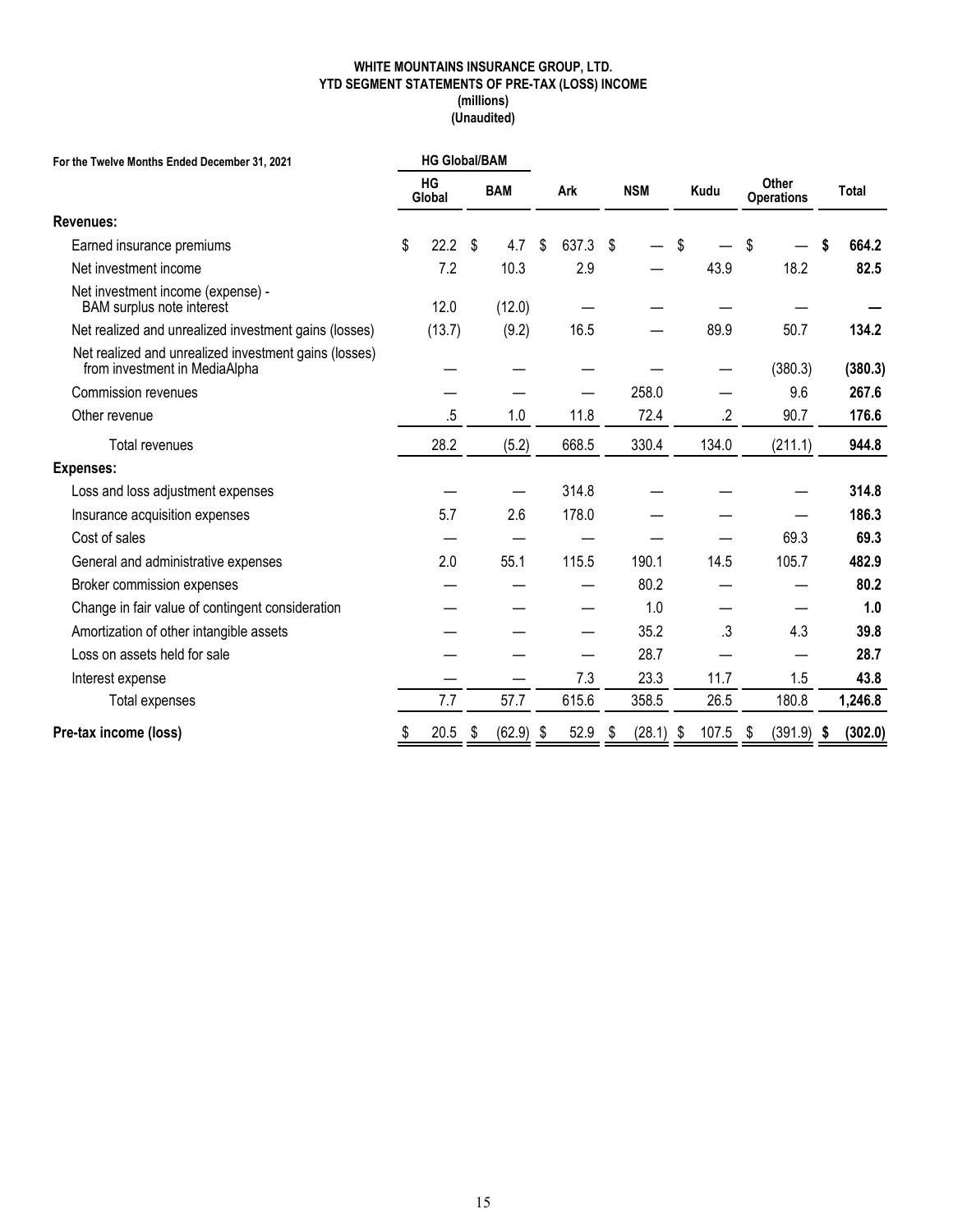#### **WHITE MOUNTAINS INSURANCE GROUP, LTD. YTD SEGMENT STATEMENTS OF PRE-TAX (LOSS) INCOME (millions) (Unaudited)**

| For the Twelve Months Ended December 31, 2021                                          | <b>HG Global/BAM</b> |              |                   |    |        |               |                            |               |              |         |
|----------------------------------------------------------------------------------------|----------------------|--------------|-------------------|----|--------|---------------|----------------------------|---------------|--------------|---------|
|                                                                                        | HG<br>Global         | <b>BAM</b>   | <b>NSM</b><br>Ark |    |        | Kudu          | Other<br><b>Operations</b> |               | <b>Total</b> |         |
| <b>Revenues:</b>                                                                       |                      |              |                   |    |        |               |                            |               |              |         |
| Earned insurance premiums                                                              | \$<br>22.2           | \$<br>4.7    | \$<br>637.3       | \$ |        | \$            |                            | \$            |              | 664.2   |
| Net investment income                                                                  | 7.2                  | 10.3         | 2.9               |    |        |               | 43.9                       | 18.2          |              | 82.5    |
| Net investment income (expense) -<br><b>BAM</b> surplus note interest                  | 12.0                 | (12.0)       |                   |    |        |               |                            |               |              |         |
| Net realized and unrealized investment gains (losses)                                  | (13.7)               | (9.2)        | 16.5              |    |        |               | 89.9                       | 50.7          |              | 134.2   |
| Net realized and unrealized investment gains (losses)<br>from investment in MediaAlpha |                      |              |                   |    |        |               |                            | (380.3)       |              | (380.3) |
| <b>Commission revenues</b>                                                             |                      |              |                   |    | 258.0  |               |                            | 9.6           |              | 267.6   |
| Other revenue                                                                          | .5                   | 1.0          | 11.8              |    | 72.4   |               | $.2\,$                     | 90.7          |              | 176.6   |
| Total revenues                                                                         | 28.2                 | (5.2)        | 668.5             |    | 330.4  |               | 134.0                      | (211.1)       |              | 944.8   |
| <b>Expenses:</b>                                                                       |                      |              |                   |    |        |               |                            |               |              |         |
| Loss and loss adjustment expenses                                                      |                      |              | 314.8             |    |        |               |                            |               |              | 314.8   |
| Insurance acquisition expenses                                                         | 5.7                  | 2.6          | 178.0             |    |        |               |                            |               |              | 186.3   |
| Cost of sales                                                                          |                      |              |                   |    |        |               |                            | 69.3          |              | 69.3    |
| General and administrative expenses                                                    | 2.0                  | 55.1         | 115.5             |    | 190.1  |               | 14.5                       | 105.7         |              | 482.9   |
| Broker commission expenses                                                             |                      |              |                   |    | 80.2   |               |                            |               |              | 80.2    |
| Change in fair value of contingent consideration                                       |                      |              |                   |    | 1.0    |               |                            |               |              | 1.0     |
| Amortization of other intangible assets                                                |                      |              |                   |    | 35.2   |               | .3                         | 4.3           |              | 39.8    |
| Loss on assets held for sale                                                           |                      |              |                   |    | 28.7   |               |                            |               |              | 28.7    |
| Interest expense                                                                       |                      |              | 7.3               |    | 23.3   |               | 11.7                       | 1.5           |              | 43.8    |
| Total expenses                                                                         | 7.7                  | 57.7         | 615.6             |    | 358.5  |               | 26.5                       | 180.8         |              | 1,246.8 |
| Pre-tax income (loss)                                                                  | 20.5                 | \$<br>(62.9) | \$<br>52.9        | \$ | (28.1) | $\frac{6}{9}$ | 107.5                      | \$<br>(391.9) | -\$          | (302.0) |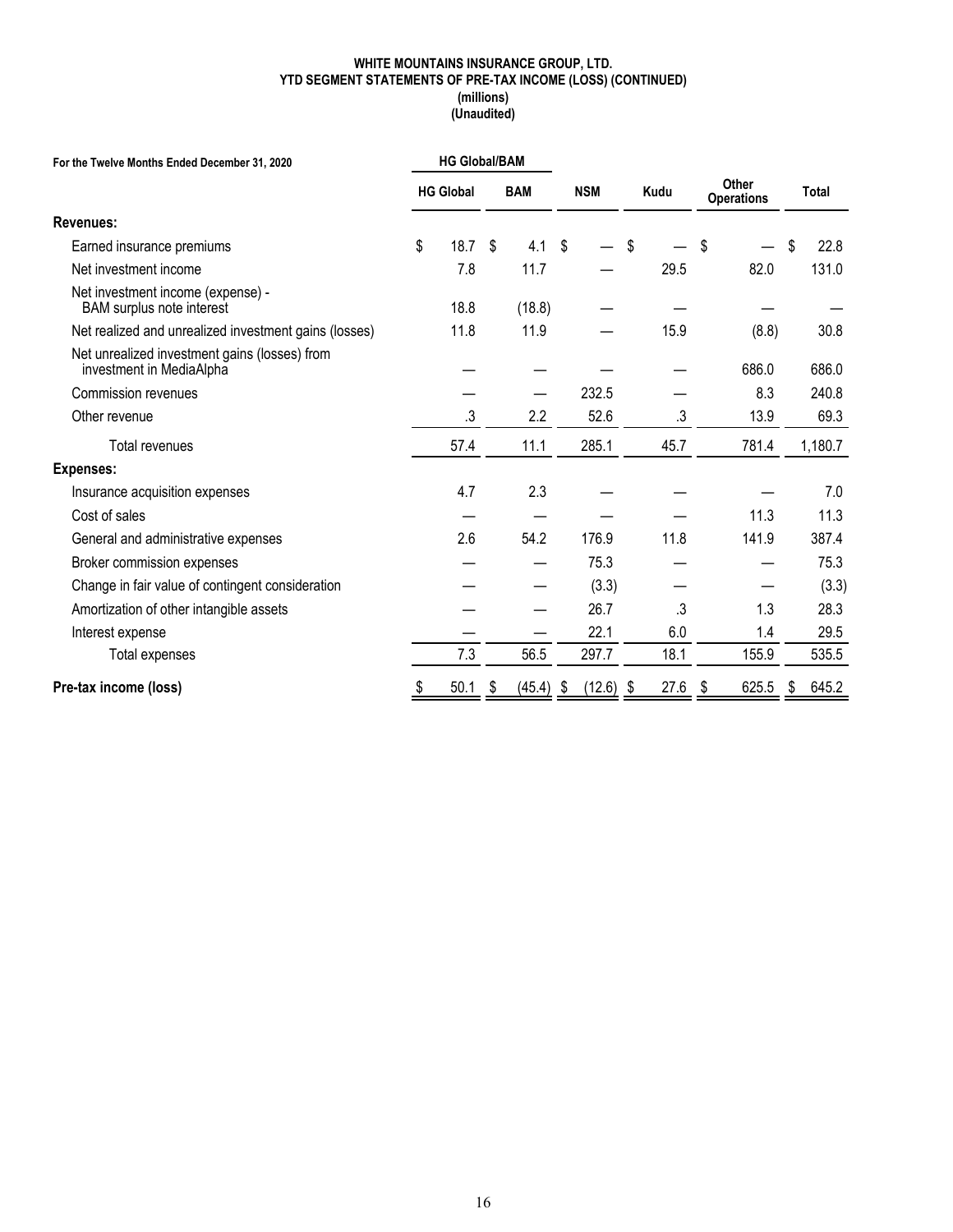#### **WHITE MOUNTAINS INSURANCE GROUP, LTD. YTD SEGMENT STATEMENTS OF PRE-TAX INCOME (LOSS) (CONTINUED) (millions) (Unaudited)**

| For the Twelve Months Ended December 31, 2020                             |    | <b>HG Global/BAM</b> |    |            |                   |      |                            |              |
|---------------------------------------------------------------------------|----|----------------------|----|------------|-------------------|------|----------------------------|--------------|
|                                                                           |    | <b>HG Global</b>     |    | <b>BAM</b> | <b>NSM</b>        | Kudu | Other<br><b>Operations</b> | <b>Total</b> |
| <b>Revenues:</b>                                                          |    |                      |    |            |                   |      |                            |              |
| Earned insurance premiums                                                 | \$ | 18.7                 | \$ | 4.1        | \$                | \$   | S                          | \$<br>22.8   |
| Net investment income                                                     |    | 7.8                  |    | 11.7       |                   | 29.5 | 82.0                       | 131.0        |
| Net investment income (expense) -<br><b>BAM</b> surplus note interest     |    | 18.8                 |    | (18.8)     |                   |      |                            |              |
| Net realized and unrealized investment gains (losses)                     |    | 11.8                 |    | 11.9       |                   | 15.9 | (8.8)                      | 30.8         |
| Net unrealized investment gains (losses) from<br>investment in MediaAlpha |    |                      |    |            |                   |      | 686.0                      | 686.0        |
| Commission revenues                                                       |    |                      |    |            | 232.5             |      | 8.3                        | 240.8        |
| Other revenue                                                             |    | .3                   |    | 2.2        | 52.6              | .3   | 13.9                       | 69.3         |
| Total revenues                                                            |    | 57.4                 |    | 11.1       | 285.1             | 45.7 | 781.4                      | 1,180.7      |
| <b>Expenses:</b>                                                          |    |                      |    |            |                   |      |                            |              |
| Insurance acquisition expenses                                            |    | 4.7                  |    | 2.3        |                   |      |                            | 7.0          |
| Cost of sales                                                             |    |                      |    |            |                   |      | 11.3                       | 11.3         |
| General and administrative expenses                                       |    | 2.6                  |    | 54.2       | 176.9             | 11.8 | 141.9                      | 387.4        |
| Broker commission expenses                                                |    |                      |    |            | 75.3              |      |                            | 75.3         |
| Change in fair value of contingent consideration                          |    |                      |    |            | (3.3)             |      |                            | (3.3)        |
| Amortization of other intangible assets                                   |    |                      |    |            | 26.7              | .3   | 1.3                        | 28.3         |
| Interest expense                                                          |    |                      |    |            | 22.1              | 6.0  | 1.4                        | 29.5         |
| Total expenses                                                            |    | 7.3                  |    | 56.5       | 297.7             | 18.1 | 155.9                      | 535.5        |
| Pre-tax income (loss)                                                     | \$ | 50.1                 | \$ | (45.4)     | \$<br>$(12.6)$ \$ | 27.6 | 625.5<br>\$                | \$<br>645.2  |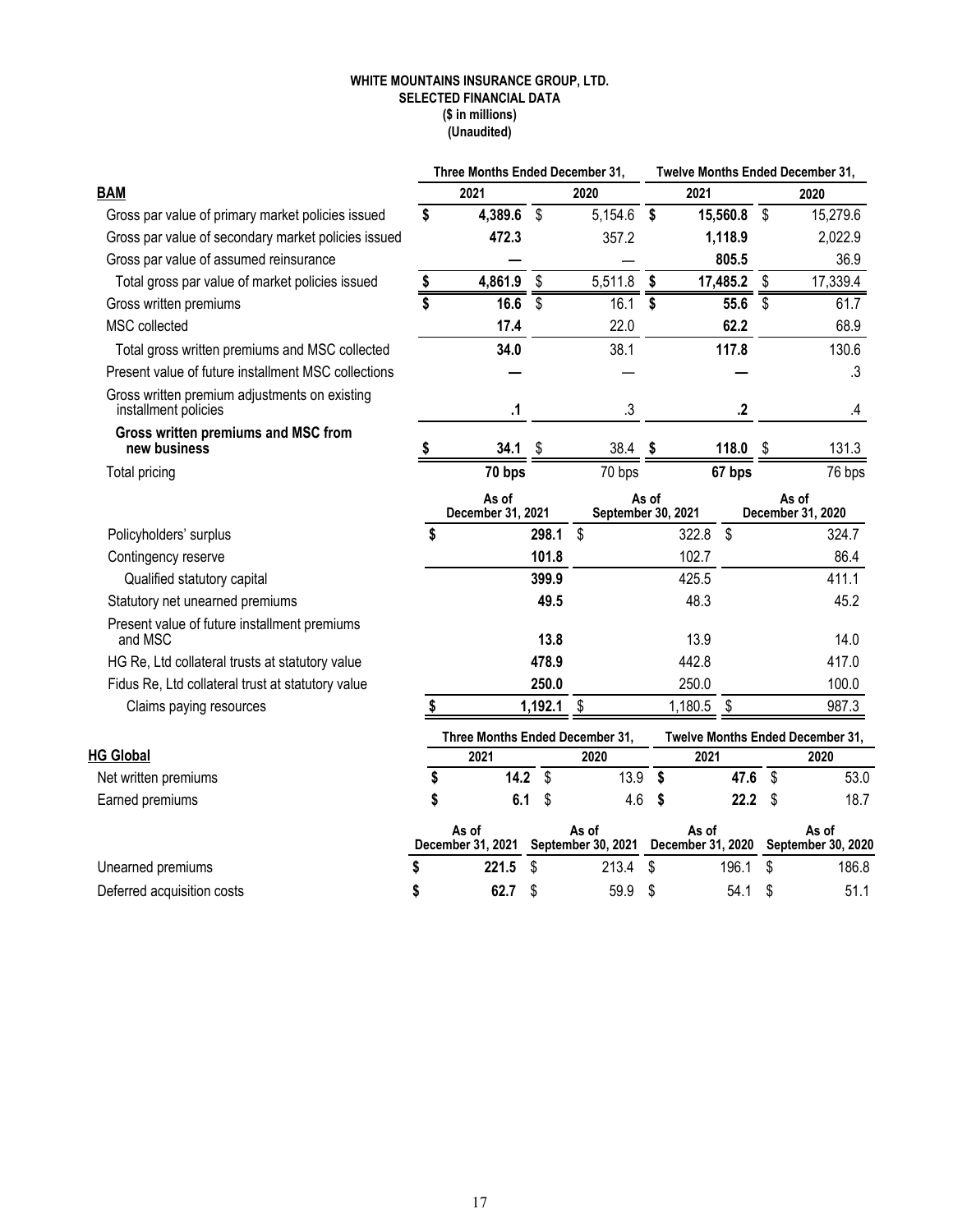#### **WHITE MOUNTAINS INSURANCE GROUP, LTD. SELECTED FINANCIAL DATA (\$ in millions) (Unaudited)**

|                                                                       |    | Three Months Ended December 31, |         |                             |       |                            |          |                           | Twelve Months Ended December 31, |
|-----------------------------------------------------------------------|----|---------------------------------|---------|-----------------------------|-------|----------------------------|----------|---------------------------|----------------------------------|
| <b>BAM</b>                                                            |    | 2021                            |         | 2020                        |       | 2021                       |          |                           | 2020                             |
| Gross par value of primary market policies issued                     | \$ | 4,389.6                         | \$      | 5,154.6                     | \$    |                            | 15,560.8 | $\boldsymbol{\mathsf{S}}$ | 15,279.6                         |
| Gross par value of secondary market policies issued                   |    | 472.3                           |         | 357.2                       |       |                            | 1,118.9  |                           | 2,022.9                          |
| Gross par value of assumed reinsurance                                |    |                                 |         |                             |       |                            | 805.5    |                           | 36.9                             |
| Total gross par value of market policies issued                       | \$ | 4,861.9                         | \$      | 5,511.8                     | \$    |                            | 17,485.2 | \$                        | 17,339.4                         |
| Gross written premiums                                                | \$ | 16.6                            | \$      | 16.1                        | \$    |                            | 55.6     | $\overline{\mathsf{s}}$   | 61.7                             |
| MSC collected                                                         |    | 17.4                            |         | 22.0                        |       |                            | 62.2     |                           | 68.9                             |
| Total gross written premiums and MSC collected                        |    | 34.0                            |         | 38.1                        |       |                            | 117.8    |                           | 130.6                            |
| Present value of future installment MSC collections                   |    |                                 |         |                             |       |                            |          |                           | .3                               |
| Gross written premium adjustments on existing<br>installment policies |    | $\Lambda$                       |         | .3                          |       |                            | $\cdot$  |                           | .4                               |
| Gross written premiums and MSC from<br>new business                   | S  | 34.1                            | \$      | 38.4                        | \$    |                            | 118.0    | \$                        | 131.3                            |
| Total pricing                                                         |    | 70 bps                          |         | 70 bps                      |       |                            | 67 bps   |                           | 76 bps                           |
|                                                                       |    | As of<br>December 31, 2021      |         | September 30, 2021          | As of |                            |          |                           | As of<br>December 31, 2020       |
| Policyholders' surplus                                                | \$ |                                 | 298.1   | $\boldsymbol{\mathsf{S}}$   |       | 322.8                      | \$       |                           | 324.7                            |
| Contingency reserve                                                   |    |                                 | 101.8   |                             |       | 102.7                      |          |                           | 86.4                             |
| Qualified statutory capital                                           |    |                                 | 399.9   |                             |       | 425.5                      |          |                           | 411.1                            |
| Statutory net unearned premiums                                       |    |                                 | 49.5    |                             |       | 48.3                       |          |                           | 45.2                             |
| Present value of future installment premiums<br>and MSC               |    |                                 | 13.8    |                             |       | 13.9                       |          |                           | 14.0                             |
| HG Re, Ltd collateral trusts at statutory value                       |    |                                 | 478.9   |                             |       | 442.8                      |          |                           | 417.0                            |
| Fidus Re, Ltd collateral trust at statutory value                     |    |                                 | 250.0   |                             |       | 250.0                      |          |                           | 100.0                            |
| Claims paying resources                                               |    |                                 | 1,192.1 | \$                          |       | 1,180.5                    | \$       |                           | 987.3                            |
|                                                                       |    | Three Months Ended December 31, |         |                             |       |                            |          |                           | Twelve Months Ended December 31, |
| <b>HG Global</b>                                                      |    | 2021                            |         | 2020                        |       | 2021                       |          |                           | 2020                             |
| Net written premiums                                                  | \$ | 14.2                            | \$      | 13.9                        | \$    |                            | 47.6     | \$                        | 53.0                             |
| Earned premiums                                                       | \$ | 6.1                             | \$      | 4.6                         | \$    |                            | 22.2     | \$                        | 18.7                             |
|                                                                       |    | As of<br>December 31, 2021      |         | As of<br>September 30, 2021 |       | As of<br>December 31, 2020 |          |                           | As of<br>September 30, 2020      |
| Unearned premiums                                                     | \$ | 221.5                           | \$      | 213.4                       | \$    |                            | 196.1    | \$                        | 186.8                            |
| Deferred acquisition costs                                            | \$ | 62.7                            | \$      | 59.9                        | \$    |                            | 54.1     | \$                        | 51.1                             |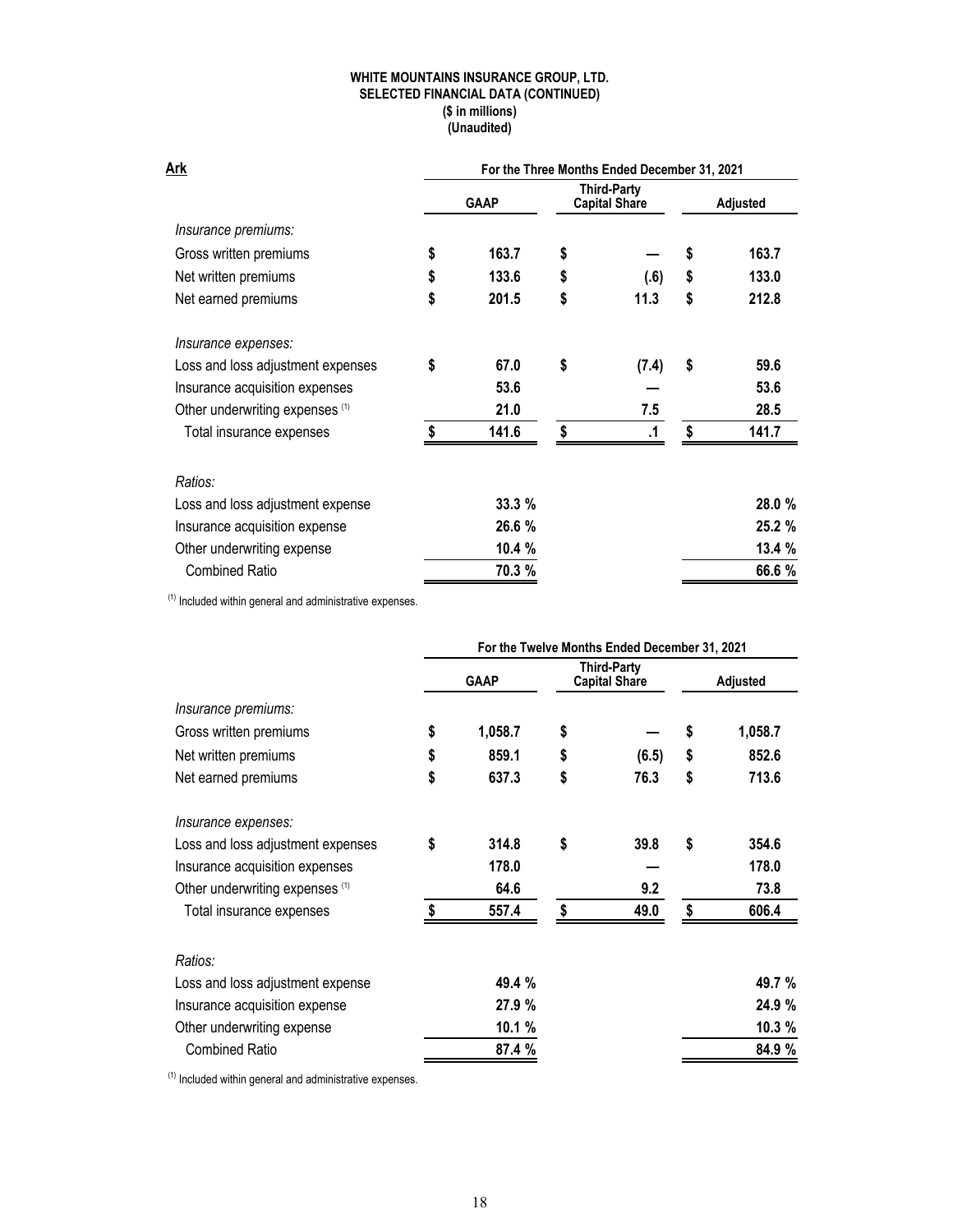### **WHITE MOUNTAINS INSURANCE GROUP, LTD. SELECTED FINANCIAL DATA (CONTINUED) (\$ in millions) (Unaudited)**

| Ark                               | For the Three Months Ended December 31, 2021 |             |    |                                            |                 |        |  |  |  |
|-----------------------------------|----------------------------------------------|-------------|----|--------------------------------------------|-----------------|--------|--|--|--|
|                                   |                                              | <b>GAAP</b> |    | <b>Third-Party</b><br><b>Capital Share</b> | <b>Adjusted</b> |        |  |  |  |
| Insurance premiums:               |                                              |             |    |                                            |                 |        |  |  |  |
| Gross written premiums            | \$                                           | 163.7       | \$ |                                            | \$              | 163.7  |  |  |  |
| Net written premiums              | \$                                           | 133.6       | \$ | (.6)                                       | \$              | 133.0  |  |  |  |
| Net earned premiums               | \$                                           | 201.5       | \$ | 11.3                                       | \$              | 212.8  |  |  |  |
| Insurance expenses:               |                                              |             |    |                                            |                 |        |  |  |  |
| Loss and loss adjustment expenses | \$                                           | 67.0        | \$ | (7.4)                                      | \$              | 59.6   |  |  |  |
| Insurance acquisition expenses    |                                              | 53.6        |    |                                            |                 | 53.6   |  |  |  |
| Other underwriting expenses (1)   |                                              | 21.0        |    | 7.5                                        |                 | 28.5   |  |  |  |
| Total insurance expenses          | \$                                           | 141.6       | \$ | .1                                         | \$              | 141.7  |  |  |  |
| Ratios:                           |                                              |             |    |                                            |                 |        |  |  |  |
| Loss and loss adjustment expense  |                                              | 33.3%       |    |                                            |                 | 28.0 % |  |  |  |
| Insurance acquisition expense     |                                              | 26.6 %      |    |                                            |                 | 25.2 % |  |  |  |
| Other underwriting expense        |                                              | 10.4%       |    |                                            |                 | 13.4 % |  |  |  |
| <b>Combined Ratio</b>             |                                              | 70.3 %      |    |                                            |                 | 66.6 % |  |  |  |

 $<sup>(1)</sup>$  Included within general and administrative expenses.</sup>

|                                   | For the Twelve Months Ended December 31, 2021 |             |    |                                     |                 |         |  |  |
|-----------------------------------|-----------------------------------------------|-------------|----|-------------------------------------|-----------------|---------|--|--|
|                                   |                                               | <b>GAAP</b> |    | Third-Party<br><b>Capital Share</b> | <b>Adjusted</b> |         |  |  |
| Insurance premiums:               |                                               |             |    |                                     |                 |         |  |  |
| Gross written premiums            | \$                                            | 1,058.7     | \$ |                                     | \$              | 1,058.7 |  |  |
| Net written premiums              | \$                                            | 859.1       | \$ | (6.5)                               | \$              | 852.6   |  |  |
| Net earned premiums               | \$                                            | 637.3       | \$ | 76.3                                | \$              | 713.6   |  |  |
| Insurance expenses:               |                                               |             |    |                                     |                 |         |  |  |
| Loss and loss adjustment expenses | \$                                            | 314.8       | \$ | 39.8                                | \$              | 354.6   |  |  |
| Insurance acquisition expenses    |                                               | 178.0       |    |                                     |                 | 178.0   |  |  |
| Other underwriting expenses (1)   |                                               | 64.6        |    | 9.2                                 |                 | 73.8    |  |  |
| Total insurance expenses          | \$                                            | 557.4       | \$ | 49.0                                | \$              | 606.4   |  |  |
| Ratios:                           |                                               |             |    |                                     |                 |         |  |  |
| Loss and loss adjustment expense  |                                               | 49.4 %      |    |                                     |                 | 49.7 %  |  |  |
| Insurance acquisition expense     |                                               | 27.9%       |    |                                     |                 | 24.9 %  |  |  |
| Other underwriting expense        |                                               | 10.1 %      |    |                                     |                 | 10.3 %  |  |  |
| <b>Combined Ratio</b>             |                                               | 87.4 %      |    |                                     |                 | 84.9 %  |  |  |

 $(1)$  Included within general and administrative expenses.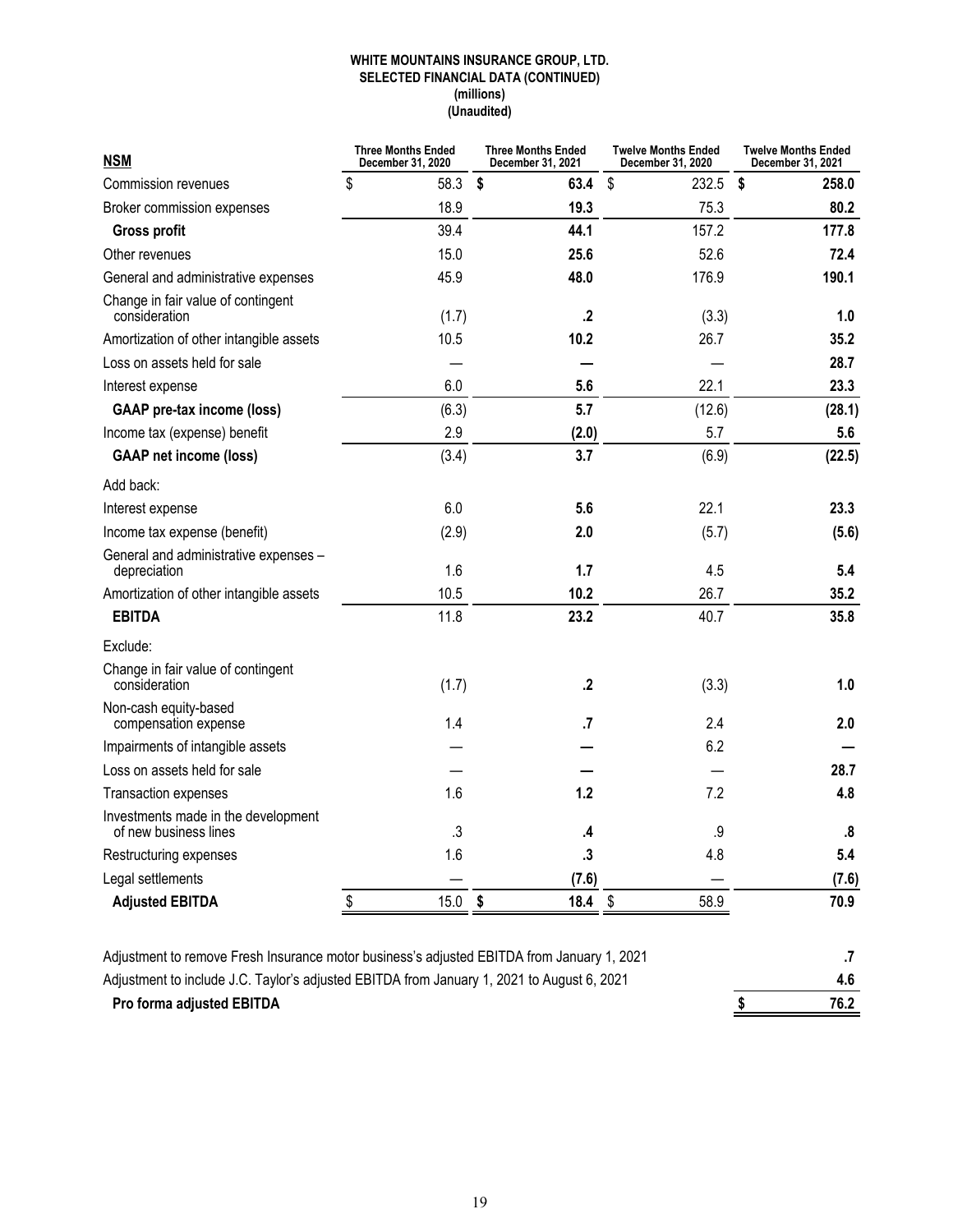### **WHITE MOUNTAINS INSURANCE GROUP, LTD. SELECTED FINANCIAL DATA (CONTINUED) (millions) (Unaudited)**

| <b>NSM</b>                                                   | <b>Three Months Ended</b><br>December 31, 2020 | <b>Three Months Ended</b><br>December 31, 2021 | <b>Twelve Months Ended</b><br>December 31, 2020 | <b>Twelve Months Ended</b><br>December 31, 2021 |
|--------------------------------------------------------------|------------------------------------------------|------------------------------------------------|-------------------------------------------------|-------------------------------------------------|
| Commission revenues                                          | \$<br>58.3                                     | \$<br>63.4                                     | \$<br>232.5                                     | \$<br>258.0                                     |
| Broker commission expenses                                   | 18.9                                           | 19.3                                           | 75.3                                            | 80.2                                            |
| <b>Gross profit</b>                                          | 39.4                                           | 44.1                                           | 157.2                                           | 177.8                                           |
| Other revenues                                               | 15.0                                           | 25.6                                           | 52.6                                            | 72.4                                            |
| General and administrative expenses                          | 45.9                                           | 48.0                                           | 176.9                                           | 190.1                                           |
| Change in fair value of contingent<br>consideration          | (1.7)                                          | .2                                             | (3.3)                                           | 1.0                                             |
| Amortization of other intangible assets                      | 10.5                                           | 10.2                                           | 26.7                                            | 35.2                                            |
| Loss on assets held for sale                                 |                                                |                                                |                                                 | 28.7                                            |
| Interest expense                                             | 6.0                                            | 5.6                                            | 22.1                                            | 23.3                                            |
| <b>GAAP</b> pre-tax income (loss)                            | (6.3)                                          | 5.7                                            | (12.6)                                          | (28.1)                                          |
| Income tax (expense) benefit                                 | 2.9                                            | (2.0)                                          | 5.7                                             | 5.6                                             |
| <b>GAAP net income (loss)</b>                                | (3.4)                                          | 3.7                                            | (6.9)                                           | (22.5)                                          |
| Add back:                                                    |                                                |                                                |                                                 |                                                 |
| Interest expense                                             | 6.0                                            | 5.6                                            | 22.1                                            | 23.3                                            |
| Income tax expense (benefit)                                 | (2.9)                                          | 2.0                                            | (5.7)                                           | (5.6)                                           |
| General and administrative expenses -<br>depreciation        | 1.6                                            | 1.7                                            | 4.5                                             | 5.4                                             |
| Amortization of other intangible assets                      | 10.5                                           | 10.2                                           | 26.7                                            | 35.2                                            |
| <b>EBITDA</b>                                                | 11.8                                           | 23.2                                           | 40.7                                            | 35.8                                            |
| Exclude:                                                     |                                                |                                                |                                                 |                                                 |
| Change in fair value of contingent<br>consideration          | (1.7)                                          | .2                                             | (3.3)                                           | 1.0                                             |
| Non-cash equity-based<br>compensation expense                | 1.4                                            | .7                                             | 2.4                                             | 2.0                                             |
| Impairments of intangible assets                             |                                                |                                                | 6.2                                             |                                                 |
| Loss on assets held for sale                                 |                                                |                                                |                                                 | 28.7                                            |
| Transaction expenses                                         | 1.6                                            | 1.2                                            | 7.2                                             | 4.8                                             |
| Investments made in the development<br>of new business lines | $\cdot$                                        | .4                                             | .9                                              | .8                                              |
| Restructuring expenses                                       | 1.6                                            | $\cdot$                                        | 4.8                                             | 5.4                                             |
| Legal settlements                                            |                                                | (7.6)                                          |                                                 | (7.6)                                           |
| <b>Adjusted EBITDA</b>                                       | \$<br>15.0                                     | \$<br>18.4                                     | \$<br>58.9                                      | 70.9                                            |
|                                                              |                                                |                                                |                                                 |                                                 |

| Adjustment to remove Fresh Insurance motor business's adjusted EBITDA from January 1, 2021 |      |
|--------------------------------------------------------------------------------------------|------|
| Adjustment to include J.C. Taylor's adjusted EBITDA from January 1, 2021 to August 6, 2021 | 4.6  |
| <b>Pro forma adjusted EBITDA</b>                                                           | 76.2 |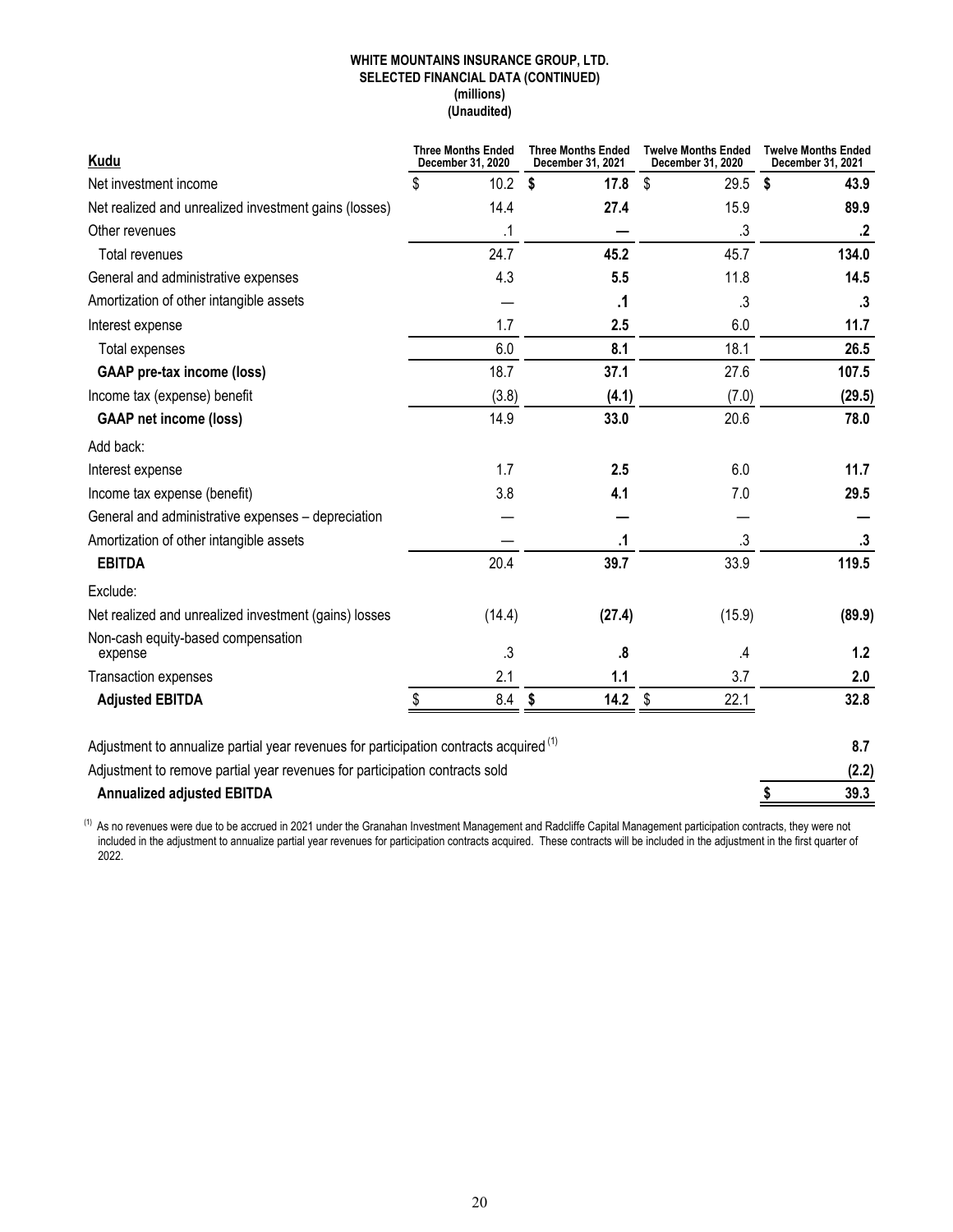### **WHITE MOUNTAINS INSURANCE GROUP, LTD. SELECTED FINANCIAL DATA (CONTINUED) (millions) (Unaudited)**

| <b>Kudu</b>                                                                                       | <b>Three Months Ended</b><br>December 31, 2020 | <b>Three Months Ended</b><br>December 31, 2021 | <b>Twelve Months Ended</b><br>December 31, 2020 | <b>Twelve Months Ended</b><br>December 31, 2021 |
|---------------------------------------------------------------------------------------------------|------------------------------------------------|------------------------------------------------|-------------------------------------------------|-------------------------------------------------|
| Net investment income                                                                             | \$<br>10.2                                     | S.<br>17.8                                     | \$<br>29.5                                      | \$<br>43.9                                      |
| Net realized and unrealized investment gains (losses)                                             | 14.4                                           | 27.4                                           | 15.9                                            | 89.9                                            |
| Other revenues                                                                                    | .1                                             |                                                | $\cdot$                                         | $\cdot$                                         |
| Total revenues                                                                                    | 24.7                                           | 45.2                                           | 45.7                                            | 134.0                                           |
| General and administrative expenses                                                               | 4.3                                            | 5.5                                            | 11.8                                            | 14.5                                            |
| Amortization of other intangible assets                                                           |                                                | .1                                             | $\cdot$                                         | $\cdot$ 3                                       |
| Interest expense                                                                                  | 1.7                                            | 2.5                                            | 6.0                                             | 11.7                                            |
| Total expenses                                                                                    | 6.0                                            | 8.1                                            | 18.1                                            | 26.5                                            |
| <b>GAAP</b> pre-tax income (loss)                                                                 | 18.7                                           | 37.1                                           | 27.6                                            | 107.5                                           |
| Income tax (expense) benefit                                                                      | (3.8)                                          | (4.1)                                          | (7.0)                                           | (29.5)                                          |
| <b>GAAP net income (loss)</b>                                                                     | 14.9                                           | 33.0                                           | 20.6                                            | 78.0                                            |
| Add back:                                                                                         |                                                |                                                |                                                 |                                                 |
| Interest expense                                                                                  | 1.7                                            | 2.5                                            | 6.0                                             | 11.7                                            |
| Income tax expense (benefit)                                                                      | 3.8                                            | 4.1                                            | 7.0                                             | 29.5                                            |
| General and administrative expenses - depreciation                                                |                                                |                                                |                                                 |                                                 |
| Amortization of other intangible assets                                                           |                                                | .1                                             | .3                                              | .3                                              |
| <b>EBITDA</b>                                                                                     | 20.4                                           | 39.7                                           | 33.9                                            | 119.5                                           |
| Exclude:                                                                                          |                                                |                                                |                                                 |                                                 |
| Net realized and unrealized investment (gains) losses                                             | (14.4)                                         | (27.4)                                         | (15.9)                                          | (89.9)                                          |
| Non-cash equity-based compensation<br>expense                                                     | $\cdot$                                        | $\boldsymbol{.8}$                              | $\cal A$                                        | $1.2$                                           |
| Transaction expenses                                                                              | 2.1                                            | 1.1                                            | 3.7                                             | 2.0                                             |
| <b>Adjusted EBITDA</b>                                                                            | $8.4\,$                                        | 14.2<br>\$                                     | \$<br>22.1                                      | 32.8                                            |
|                                                                                                   |                                                |                                                |                                                 |                                                 |
| Adjustment to annualize partial year revenues for participation contracts acquired <sup>(1)</sup> |                                                |                                                |                                                 | 8.7                                             |
| Adjustment to remove partial year revenues for participation contracts sold                       |                                                |                                                |                                                 | (2.2)                                           |
| <b>Annualized adjusted EBITDA</b>                                                                 |                                                |                                                |                                                 | \$<br>39.3                                      |

 $^{(1)}$  As no revenues were due to be accrued in 2021 under the Granahan Investment Management and Radcliffe Capital Management participation contracts, they were not included in the adjustment to annualize partial year revenues for participation contracts acquired. These contracts will be included in the adjustment in the first quarter of 2022.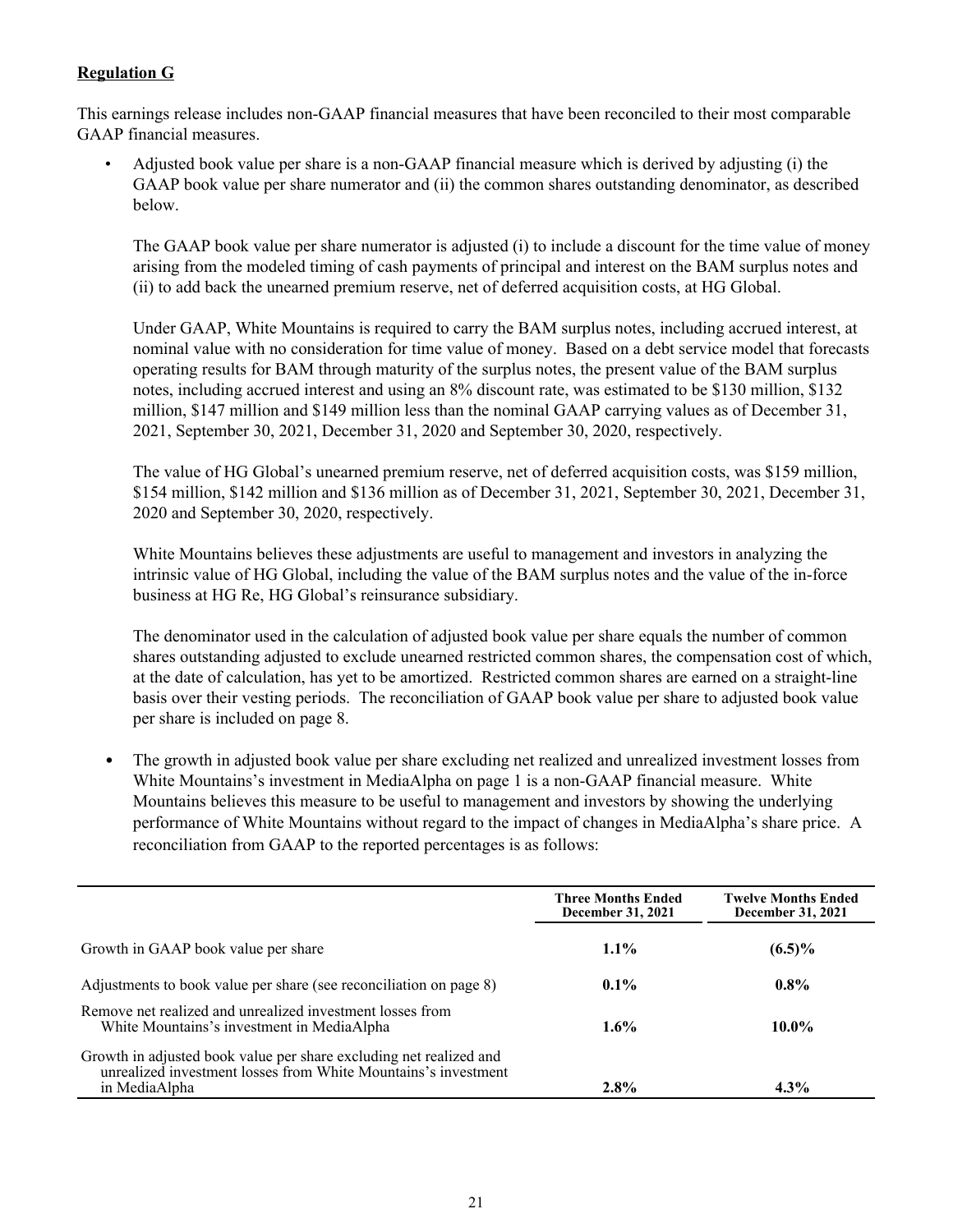# **Regulation G**

This earnings release includes non-GAAP financial measures that have been reconciled to their most comparable GAAP financial measures.

• Adjusted book value per share is a non-GAAP financial measure which is derived by adjusting (i) the GAAP book value per share numerator and (ii) the common shares outstanding denominator, as described below.

The GAAP book value per share numerator is adjusted (i) to include a discount for the time value of money arising from the modeled timing of cash payments of principal and interest on the BAM surplus notes and (ii) to add back the unearned premium reserve, net of deferred acquisition costs, at HG Global.

Under GAAP, White Mountains is required to carry the BAM surplus notes, including accrued interest, at nominal value with no consideration for time value of money. Based on a debt service model that forecasts operating results for BAM through maturity of the surplus notes, the present value of the BAM surplus notes, including accrued interest and using an 8% discount rate, was estimated to be \$130 million, \$132 million, \$147 million and \$149 million less than the nominal GAAP carrying values as of December 31, 2021, September 30, 2021, December 31, 2020 and September 30, 2020, respectively.

The value of HG Global's unearned premium reserve, net of deferred acquisition costs, was \$159 million, \$154 million, \$142 million and \$136 million as of December 31, 2021, September 30, 2021, December 31, 2020 and September 30, 2020, respectively.

White Mountains believes these adjustments are useful to management and investors in analyzing the intrinsic value of HG Global, including the value of the BAM surplus notes and the value of the in-force business at HG Re, HG Global's reinsurance subsidiary.

The denominator used in the calculation of adjusted book value per share equals the number of common shares outstanding adjusted to exclude unearned restricted common shares, the compensation cost of which, at the date of calculation, has yet to be amortized. Restricted common shares are earned on a straight-line basis over their vesting periods. The reconciliation of GAAP book value per share to adjusted book value per share is included on page 8.

• The growth in adjusted book value per share excluding net realized and unrealized investment losses from White Mountains's investment in MediaAlpha on page 1 is a non-GAAP financial measure. White Mountains believes this measure to be useful to management and investors by showing the underlying performance of White Mountains without regard to the impact of changes in MediaAlpha's share price. A reconciliation from GAAP to the reported percentages is as follows:

|                                                                                                                                                       | <b>Three Months Ended</b><br>December 31, 2021 | <b>Twelve Months Ended</b><br>December 31, 2021 |
|-------------------------------------------------------------------------------------------------------------------------------------------------------|------------------------------------------------|-------------------------------------------------|
| Growth in GAAP book value per share                                                                                                                   | $1.1\%$                                        | $(6.5)\%$                                       |
| Adjustments to book value per share (see reconciliation on page 8)                                                                                    | $0.1\%$                                        | $0.8\%$                                         |
| Remove net realized and unrealized investment losses from<br>White Mountains's investment in MediaAlpha                                               | $1.6\%$                                        | $10.0\%$                                        |
| Growth in adjusted book value per share excluding net realized and<br>unrealized investment losses from White Mountains's investment<br>in MediaAlpha | $2.8\%$                                        | $4.3\%$                                         |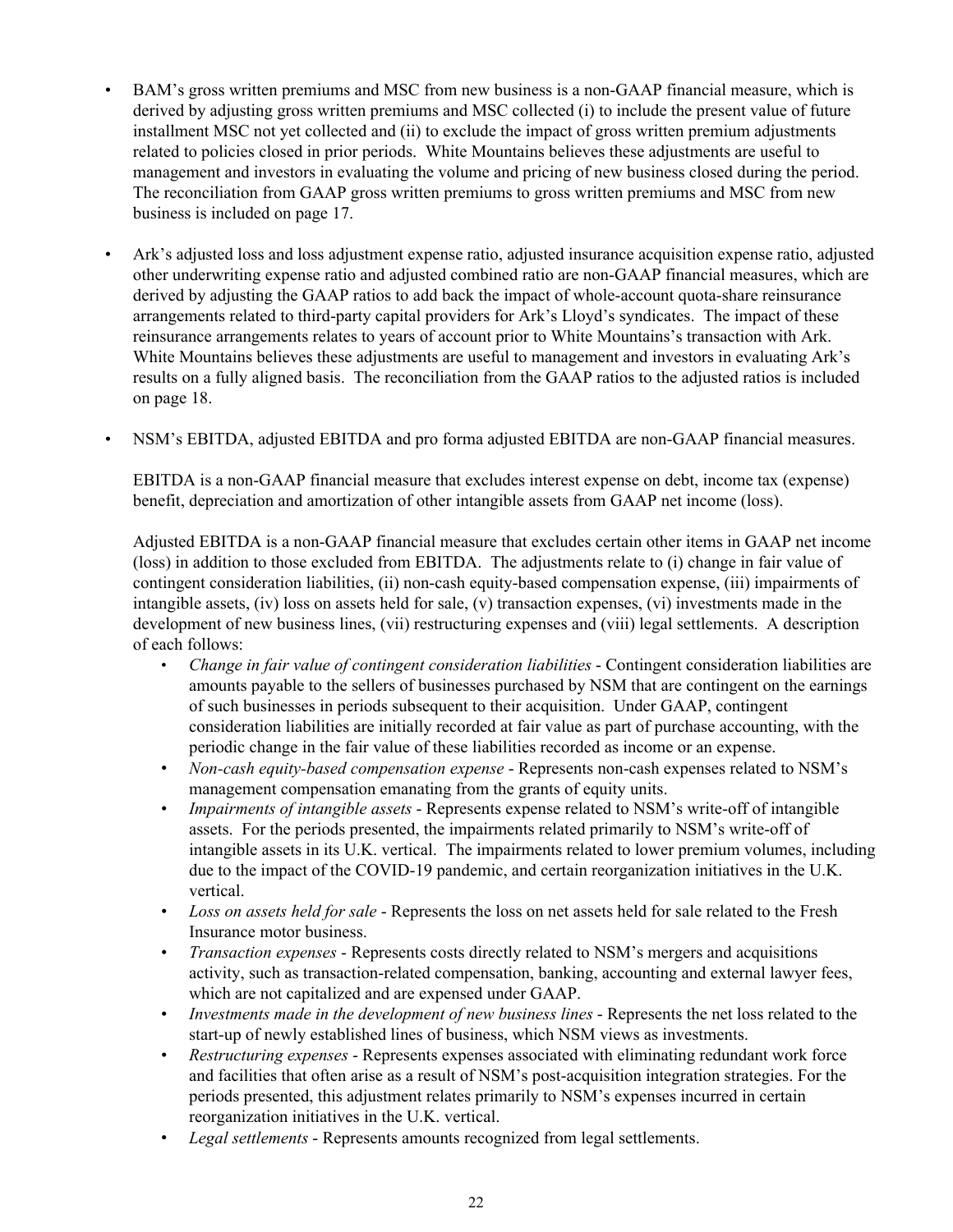- BAM's gross written premiums and MSC from new business is a non-GAAP financial measure, which is derived by adjusting gross written premiums and MSC collected (i) to include the present value of future installment MSC not yet collected and (ii) to exclude the impact of gross written premium adjustments related to policies closed in prior periods. White Mountains believes these adjustments are useful to management and investors in evaluating the volume and pricing of new business closed during the period. The reconciliation from GAAP gross written premiums to gross written premiums and MSC from new business is included on page 17.
- Ark's adjusted loss and loss adjustment expense ratio, adjusted insurance acquisition expense ratio, adjusted other underwriting expense ratio and adjusted combined ratio are non-GAAP financial measures, which are derived by adjusting the GAAP ratios to add back the impact of whole-account quota-share reinsurance arrangements related to third-party capital providers for Ark's Lloyd's syndicates. The impact of these reinsurance arrangements relates to years of account prior to White Mountains's transaction with Ark. White Mountains believes these adjustments are useful to management and investors in evaluating Ark's results on a fully aligned basis. The reconciliation from the GAAP ratios to the adjusted ratios is included on page 18.
- NSM's EBITDA, adjusted EBITDA and pro forma adjusted EBITDA are non-GAAP financial measures.

EBITDA is a non-GAAP financial measure that excludes interest expense on debt, income tax (expense) benefit, depreciation and amortization of other intangible assets from GAAP net income (loss).

Adjusted EBITDA is a non-GAAP financial measure that excludes certain other items in GAAP net income (loss) in addition to those excluded from EBITDA. The adjustments relate to (i) change in fair value of contingent consideration liabilities, (ii) non-cash equity-based compensation expense, (iii) impairments of intangible assets, (iv) loss on assets held for sale, (v) transaction expenses, (vi) investments made in the development of new business lines, (vii) restructuring expenses and (viii) legal settlements. A description of each follows:

- *Change in fair value of contingent consideration liabilities* Contingent consideration liabilities are amounts payable to the sellers of businesses purchased by NSM that are contingent on the earnings of such businesses in periods subsequent to their acquisition. Under GAAP, contingent consideration liabilities are initially recorded at fair value as part of purchase accounting, with the periodic change in the fair value of these liabilities recorded as income or an expense.
- *Non-cash equity-based compensation expense* Represents non-cash expenses related to NSM's management compensation emanating from the grants of equity units.
- *Impairments of intangible assets* Represents expense related to NSM's write-off of intangible assets. For the periods presented, the impairments related primarily to NSM's write-off of intangible assets in its U.K. vertical. The impairments related to lower premium volumes, including due to the impact of the COVID-19 pandemic, and certain reorganization initiatives in the U.K. vertical.
- *Loss on assets held for sale* Represents the loss on net assets held for sale related to the Fresh Insurance motor business.
- *Transaction expenses* Represents costs directly related to NSM's mergers and acquisitions activity, such as transaction-related compensation, banking, accounting and external lawyer fees, which are not capitalized and are expensed under GAAP.
- *Investments made in the development of new business lines* Represents the net loss related to the start-up of newly established lines of business, which NSM views as investments.
- *Restructuring expenses* Represents expenses associated with eliminating redundant work force and facilities that often arise as a result of NSM's post-acquisition integration strategies. For the periods presented, this adjustment relates primarily to NSM's expenses incurred in certain reorganization initiatives in the U.K. vertical.
- *Legal settlements*  Represents amounts recognized from legal settlements.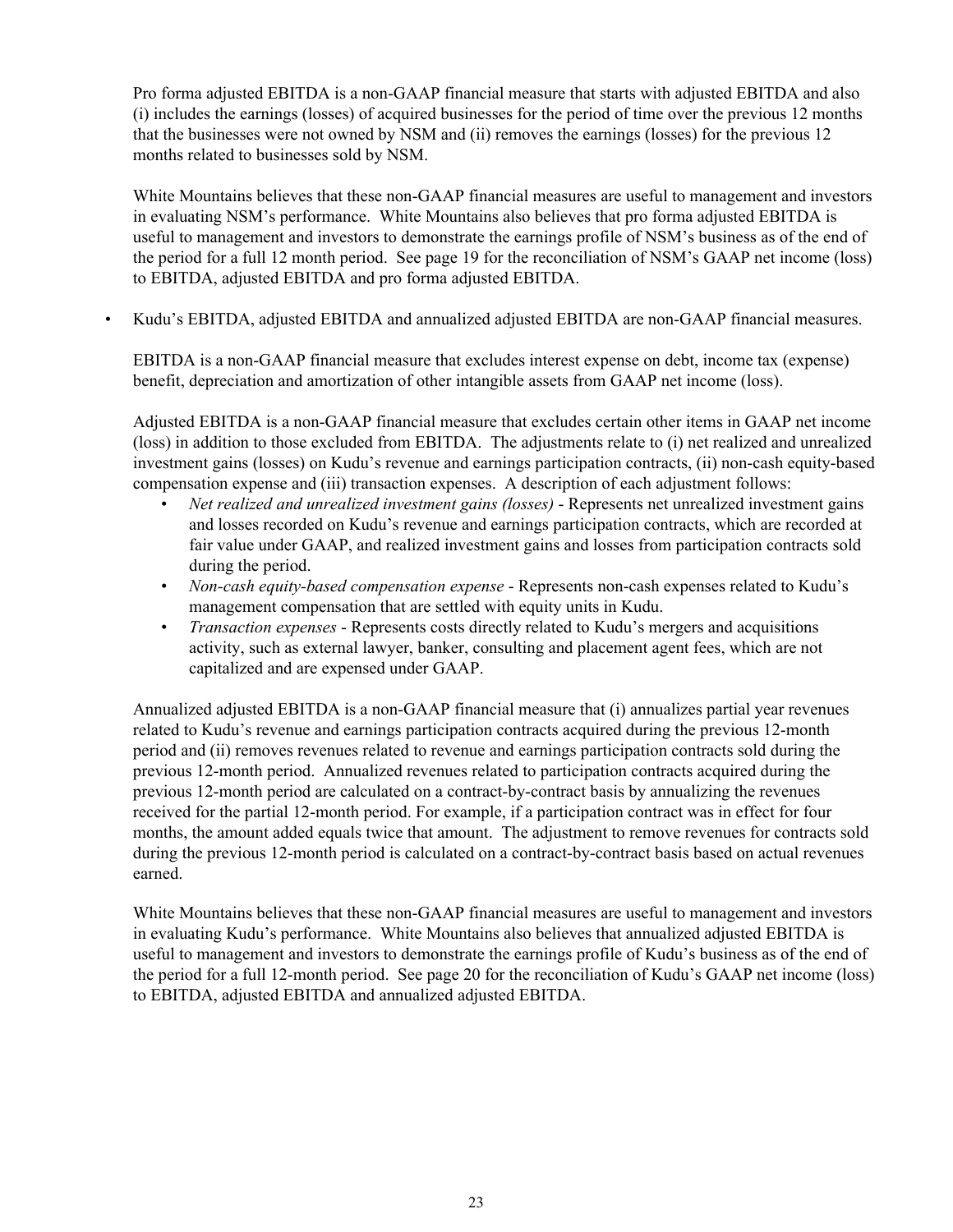Pro forma adjusted EBITDA is a non-GAAP financial measure that starts with adjusted EBITDA and also (i) includes the earnings (losses) of acquired businesses for the period of time over the previous 12 months that the businesses were not owned by NSM and (ii) removes the earnings (losses) for the previous 12 months related to businesses sold by NSM.

White Mountains believes that these non-GAAP financial measures are useful to management and investors in evaluating NSM's performance. White Mountains also believes that pro forma adjusted EBITDA is useful to management and investors to demonstrate the earnings profile of NSM's business as of the end of the period for a full 12 month period. See page 19 for the reconciliation of NSM's GAAP net income (loss) to EBITDA, adjusted EBITDA and pro forma adjusted EBITDA.

• Kudu's EBITDA, adjusted EBITDA and annualized adjusted EBITDA are non-GAAP financial measures.

EBITDA is a non-GAAP financial measure that excludes interest expense on debt, income tax (expense) benefit, depreciation and amortization of other intangible assets from GAAP net income (loss).

Adjusted EBITDA is a non-GAAP financial measure that excludes certain other items in GAAP net income (loss) in addition to those excluded from EBITDA. The adjustments relate to (i) net realized and unrealized investment gains (losses) on Kudu's revenue and earnings participation contracts, (ii) non-cash equity-based compensation expense and (iii) transaction expenses. A description of each adjustment follows:

- *Net realized and unrealized investment gains (losses)* Represents net unrealized investment gains and losses recorded on Kudu's revenue and earnings participation contracts, which are recorded at fair value under GAAP, and realized investment gains and losses from participation contracts sold during the period.
- *Non-cash equity-based compensation expense* Represents non-cash expenses related to Kudu's management compensation that are settled with equity units in Kudu.
- *Transaction expenses* Represents costs directly related to Kudu's mergers and acquisitions activity, such as external lawyer, banker, consulting and placement agent fees, which are not capitalized and are expensed under GAAP.

Annualized adjusted EBITDA is a non-GAAP financial measure that (i) annualizes partial year revenues related to Kudu's revenue and earnings participation contracts acquired during the previous 12-month period and (ii) removes revenues related to revenue and earnings participation contracts sold during the previous 12-month period. Annualized revenues related to participation contracts acquired during the previous 12-month period are calculated on a contract-by-contract basis by annualizing the revenues received for the partial 12-month period. For example, if a participation contract was in effect for four months, the amount added equals twice that amount. The adjustment to remove revenues for contracts sold during the previous 12-month period is calculated on a contract-by-contract basis based on actual revenues earned.

White Mountains believes that these non-GAAP financial measures are useful to management and investors in evaluating Kudu's performance. White Mountains also believes that annualized adjusted EBITDA is useful to management and investors to demonstrate the earnings profile of Kudu's business as of the end of the period for a full 12-month period. See page 20 for the reconciliation of Kudu's GAAP net income (loss) to EBITDA, adjusted EBITDA and annualized adjusted EBITDA.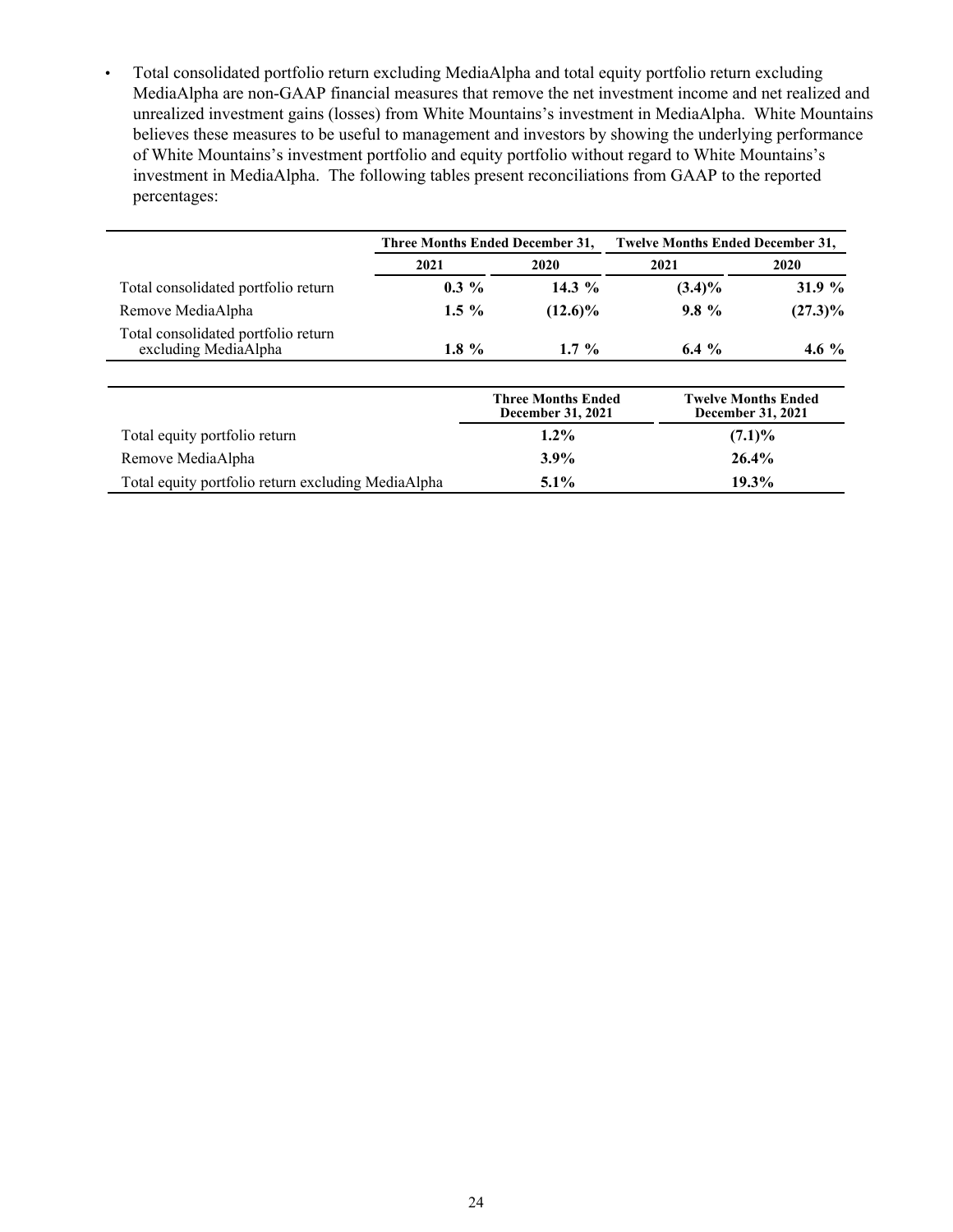• Total consolidated portfolio return excluding MediaAlpha and total equity portfolio return excluding MediaAlpha are non-GAAP financial measures that remove the net investment income and net realized and unrealized investment gains (losses) from White Mountains's investment in MediaAlpha. White Mountains believes these measures to be useful to management and investors by showing the underlying performance of White Mountains's investment portfolio and equity portfolio without regard to White Mountains's investment in MediaAlpha. The following tables present reconciliations from GAAP to the reported percentages:

|                                                             | Three Months Ended December 31, |  |                                                       | <b>Twelve Months Ended December 31,</b> |                                                 |
|-------------------------------------------------------------|---------------------------------|--|-------------------------------------------------------|-----------------------------------------|-------------------------------------------------|
|                                                             | 2021                            |  | 2020                                                  | 2021                                    | 2020                                            |
| Total consolidated portfolio return                         | $0.3\%$                         |  | 14.3 $\%$                                             | $(3.4)\%$                               | 31.9 $%$                                        |
| Remove MediaAlpha                                           | $1.5 \%$                        |  | $(12.6)\%$                                            | $9.8\%$                                 | $(27.3)\%$                                      |
| Total consolidated portfolio return<br>excluding MediaAlpha | 1.8 $%$                         |  | $1.7\%$                                               | 6.4 $\%$                                | 4.6 $%$                                         |
|                                                             |                                 |  | <b>Three Months Ended</b><br><b>December 31, 2021</b> |                                         | <b>Twelve Months Ended</b><br>December 31, 2021 |
| Total equity portfolio return                               |                                 |  | $1.2\%$                                               |                                         | $(7.1)\%$                                       |
| Remove MediaAlpha                                           |                                 |  | $3.9\%$                                               |                                         | 26.4%                                           |
| Total equity portfolio return excluding MediaAlpha          |                                 |  | $5.1\%$                                               |                                         | $19.3\%$                                        |